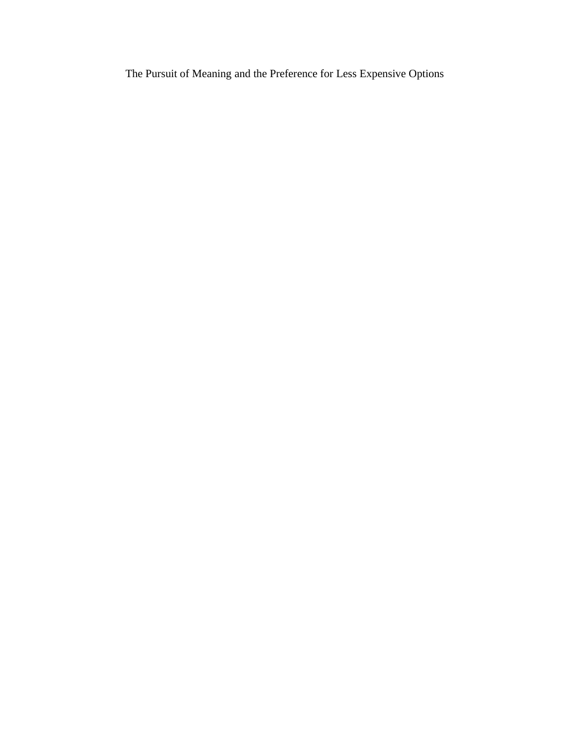The Pursuit of Meaning and the Preference for Less Expensive Options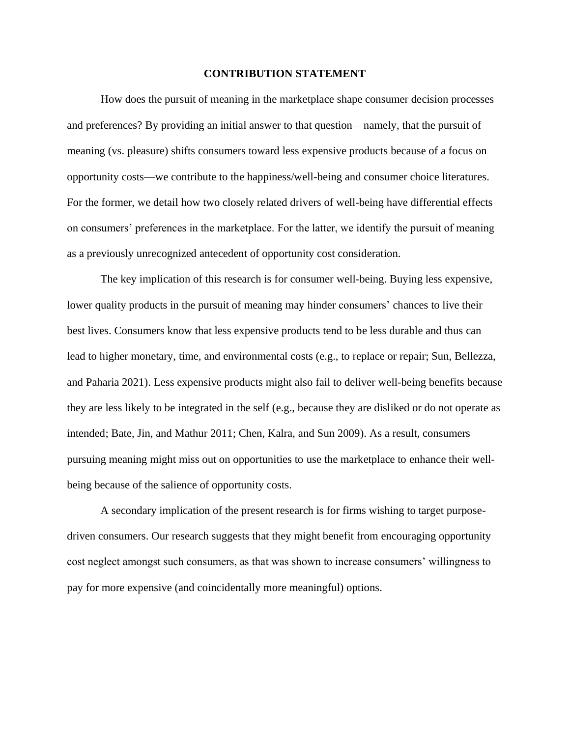#### **CONTRIBUTION STATEMENT**

How does the pursuit of meaning in the marketplace shape consumer decision processes and preferences? By providing an initial answer to that question—namely, that the pursuit of meaning (vs. pleasure) shifts consumers toward less expensive products because of a focus on opportunity costs—we contribute to the happiness/well-being and consumer choice literatures. For the former, we detail how two closely related drivers of well-being have differential effects on consumers' preferences in the marketplace. For the latter, we identify the pursuit of meaning as a previously unrecognized antecedent of opportunity cost consideration.

The key implication of this research is for consumer well-being. Buying less expensive, lower quality products in the pursuit of meaning may hinder consumers' chances to live their best lives. Consumers know that less expensive products tend to be less durable and thus can lead to higher monetary, time, and environmental costs (e.g., to replace or repair; Sun, Bellezza, and Paharia 2021). Less expensive products might also fail to deliver well-being benefits because they are less likely to be integrated in the self (e.g., because they are disliked or do not operate as intended; Bate, Jin, and Mathur 2011; Chen, Kalra, and Sun 2009). As a result, consumers pursuing meaning might miss out on opportunities to use the marketplace to enhance their wellbeing because of the salience of opportunity costs.

A secondary implication of the present research is for firms wishing to target purposedriven consumers. Our research suggests that they might benefit from encouraging opportunity cost neglect amongst such consumers, as that was shown to increase consumers' willingness to pay for more expensive (and coincidentally more meaningful) options.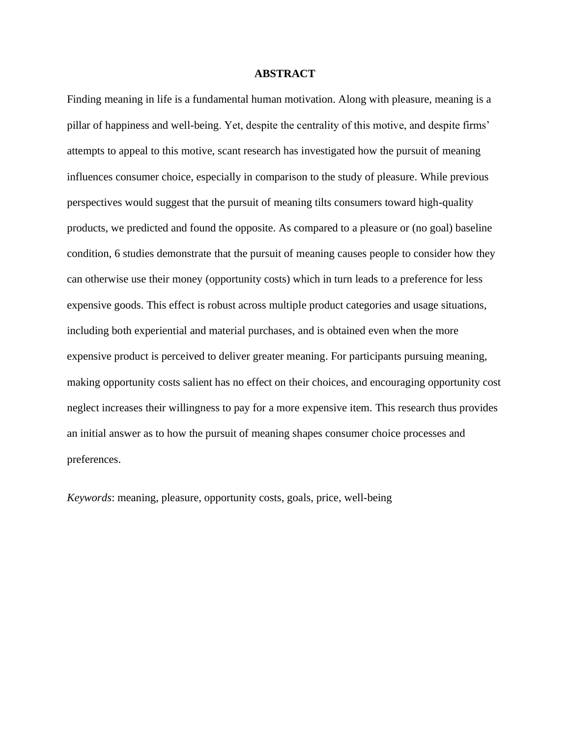#### **ABSTRACT**

Finding meaning in life is a fundamental human motivation. Along with pleasure, meaning is a pillar of happiness and well-being. Yet, despite the centrality of this motive, and despite firms' attempts to appeal to this motive, scant research has investigated how the pursuit of meaning influences consumer choice, especially in comparison to the study of pleasure. While previous perspectives would suggest that the pursuit of meaning tilts consumers toward high-quality products, we predicted and found the opposite. As compared to a pleasure or (no goal) baseline condition, 6 studies demonstrate that the pursuit of meaning causes people to consider how they can otherwise use their money (opportunity costs) which in turn leads to a preference for less expensive goods. This effect is robust across multiple product categories and usage situations, including both experiential and material purchases, and is obtained even when the more expensive product is perceived to deliver greater meaning. For participants pursuing meaning, making opportunity costs salient has no effect on their choices, and encouraging opportunity cost neglect increases their willingness to pay for a more expensive item. This research thus provides an initial answer as to how the pursuit of meaning shapes consumer choice processes and preferences.

*Keywords*: meaning, pleasure, opportunity costs, goals, price, well-being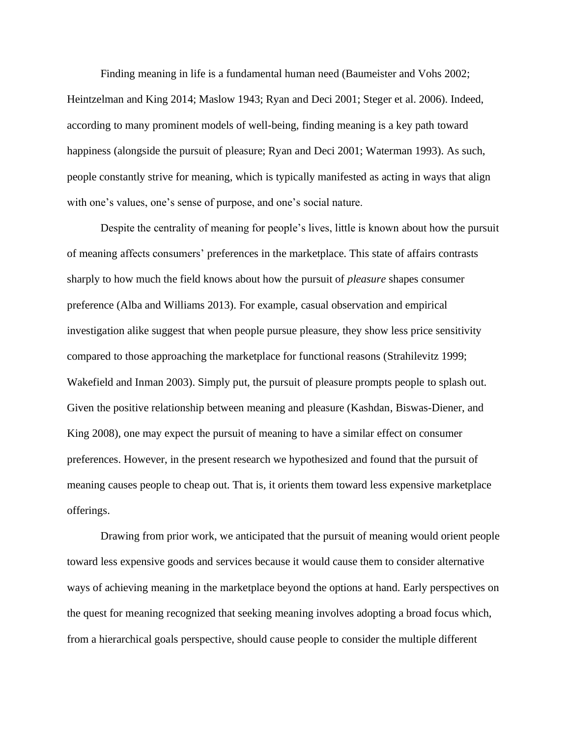Finding meaning in life is a fundamental human need (Baumeister and Vohs 2002; Heintzelman and King 2014; Maslow 1943; Ryan and Deci 2001; Steger et al. 2006). Indeed, according to many prominent models of well-being, finding meaning is a key path toward happiness (alongside the pursuit of pleasure; Ryan and Deci 2001; Waterman 1993). As such, people constantly strive for meaning, which is typically manifested as acting in ways that align with one's values, one's sense of purpose, and one's social nature.

Despite the centrality of meaning for people's lives, little is known about how the pursuit of meaning affects consumers' preferences in the marketplace. This state of affairs contrasts sharply to how much the field knows about how the pursuit of *pleasure* shapes consumer preference (Alba and Williams 2013). For example, casual observation and empirical investigation alike suggest that when people pursue pleasure, they show less price sensitivity compared to those approaching the marketplace for functional reasons (Strahilevitz 1999; Wakefield and Inman 2003). Simply put, the pursuit of pleasure prompts people to splash out. Given the positive relationship between meaning and pleasure (Kashdan, Biswas-Diener, and King 2008), one may expect the pursuit of meaning to have a similar effect on consumer preferences. However, in the present research we hypothesized and found that the pursuit of meaning causes people to cheap out. That is, it orients them toward less expensive marketplace offerings.

Drawing from prior work, we anticipated that the pursuit of meaning would orient people toward less expensive goods and services because it would cause them to consider alternative ways of achieving meaning in the marketplace beyond the options at hand. Early perspectives on the quest for meaning recognized that seeking meaning involves adopting a broad focus which, from a hierarchical goals perspective, should cause people to consider the multiple different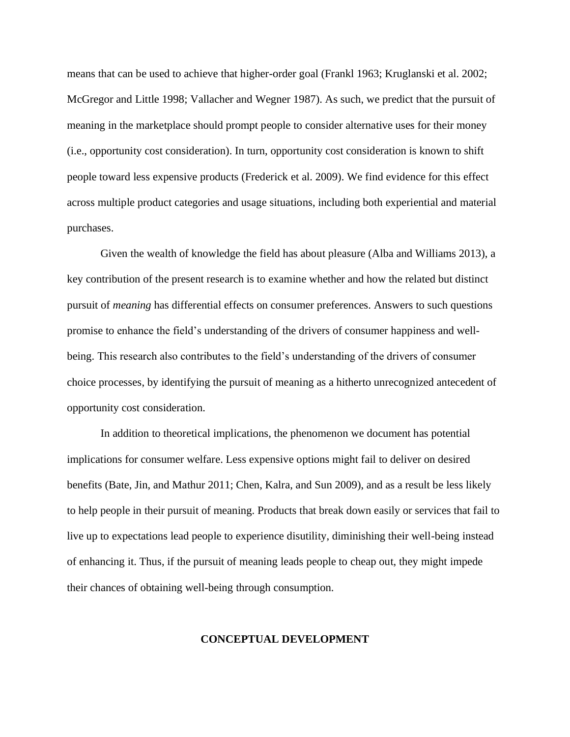means that can be used to achieve that higher-order goal (Frankl 1963; Kruglanski et al. 2002; McGregor and Little 1998; Vallacher and Wegner 1987). As such, we predict that the pursuit of meaning in the marketplace should prompt people to consider alternative uses for their money (i.e., opportunity cost consideration). In turn, opportunity cost consideration is known to shift people toward less expensive products (Frederick et al. 2009). We find evidence for this effect across multiple product categories and usage situations, including both experiential and material purchases.

Given the wealth of knowledge the field has about pleasure (Alba and Williams 2013), a key contribution of the present research is to examine whether and how the related but distinct pursuit of *meaning* has differential effects on consumer preferences. Answers to such questions promise to enhance the field's understanding of the drivers of consumer happiness and wellbeing. This research also contributes to the field's understanding of the drivers of consumer choice processes, by identifying the pursuit of meaning as a hitherto unrecognized antecedent of opportunity cost consideration.

In addition to theoretical implications, the phenomenon we document has potential implications for consumer welfare. Less expensive options might fail to deliver on desired benefits (Bate, Jin, and Mathur 2011; Chen, Kalra, and Sun 2009), and as a result be less likely to help people in their pursuit of meaning. Products that break down easily or services that fail to live up to expectations lead people to experience disutility, diminishing their well-being instead of enhancing it. Thus, if the pursuit of meaning leads people to cheap out, they might impede their chances of obtaining well-being through consumption.

#### **CONCEPTUAL DEVELOPMENT**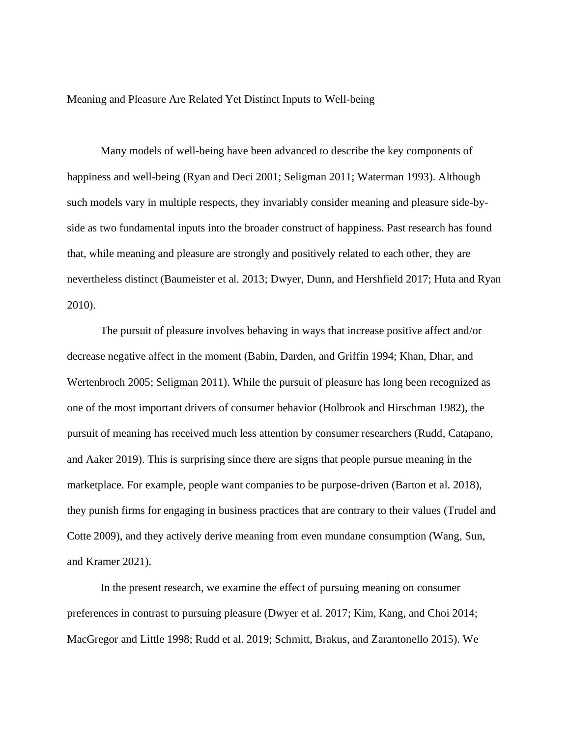Meaning and Pleasure Are Related Yet Distinct Inputs to Well-being

Many models of well-being have been advanced to describe the key components of happiness and well-being (Ryan and Deci 2001; Seligman 2011; Waterman 1993). Although such models vary in multiple respects, they invariably consider meaning and pleasure side-byside as two fundamental inputs into the broader construct of happiness. Past research has found that, while meaning and pleasure are strongly and positively related to each other, they are nevertheless distinct (Baumeister et al. 2013; Dwyer, Dunn, and Hershfield 2017; Huta and Ryan 2010).

The pursuit of pleasure involves behaving in ways that increase positive affect and/or decrease negative affect in the moment (Babin, Darden, and Griffin 1994; Khan, Dhar, and Wertenbroch 2005; Seligman 2011). While the pursuit of pleasure has long been recognized as one of the most important drivers of consumer behavior (Holbrook and Hirschman 1982), the pursuit of meaning has received much less attention by consumer researchers (Rudd, Catapano, and Aaker 2019). This is surprising since there are signs that people pursue meaning in the marketplace. For example, people want companies to be purpose-driven (Barton et al. 2018), they punish firms for engaging in business practices that are contrary to their values (Trudel and Cotte 2009), and they actively derive meaning from even mundane consumption (Wang, Sun, and Kramer 2021).

In the present research, we examine the effect of pursuing meaning on consumer preferences in contrast to pursuing pleasure (Dwyer et al. 2017; Kim, Kang, and Choi 2014; MacGregor and Little 1998; Rudd et al. 2019; Schmitt, Brakus, and Zarantonello 2015). We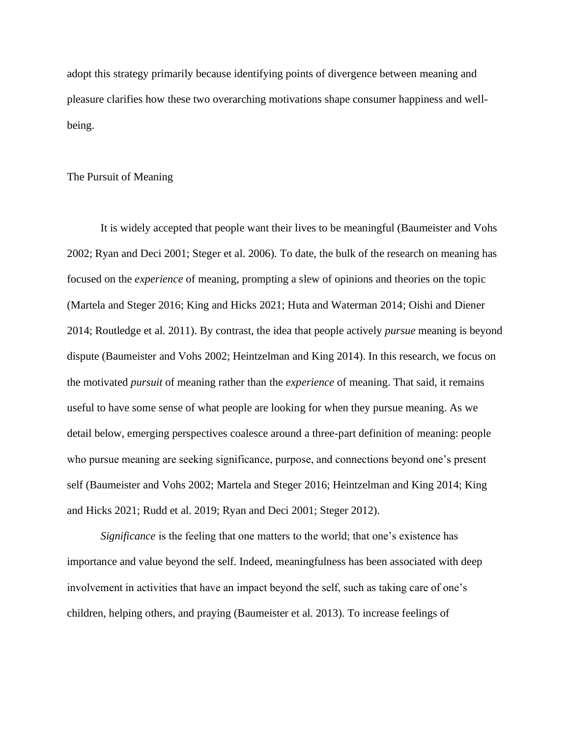adopt this strategy primarily because identifying points of divergence between meaning and pleasure clarifies how these two overarching motivations shape consumer happiness and wellbeing.

#### The Pursuit of Meaning

It is widely accepted that people want their lives to be meaningful (Baumeister and Vohs 2002; Ryan and Deci 2001; Steger et al. 2006). To date, the bulk of the research on meaning has focused on the *experience* of meaning, prompting a slew of opinions and theories on the topic (Martela and Steger 2016; King and Hicks 2021; Huta and Waterman 2014; Oishi and Diener 2014; Routledge et al. 2011). By contrast, the idea that people actively *pursue* meaning is beyond dispute (Baumeister and Vohs 2002; Heintzelman and King 2014). In this research, we focus on the motivated *pursuit* of meaning rather than the *experience* of meaning. That said, it remains useful to have some sense of what people are looking for when they pursue meaning. As we detail below, emerging perspectives coalesce around a three-part definition of meaning: people who pursue meaning are seeking significance, purpose, and connections beyond one's present self (Baumeister and Vohs 2002; Martela and Steger 2016; Heintzelman and King 2014; King and Hicks 2021; Rudd et al. 2019; Ryan and Deci 2001; Steger 2012).

*Significance* is the feeling that one matters to the world; that one's existence has importance and value beyond the self. Indeed, meaningfulness has been associated with deep involvement in activities that have an impact beyond the self, such as taking care of one's children, helping others, and praying (Baumeister et al. 2013). To increase feelings of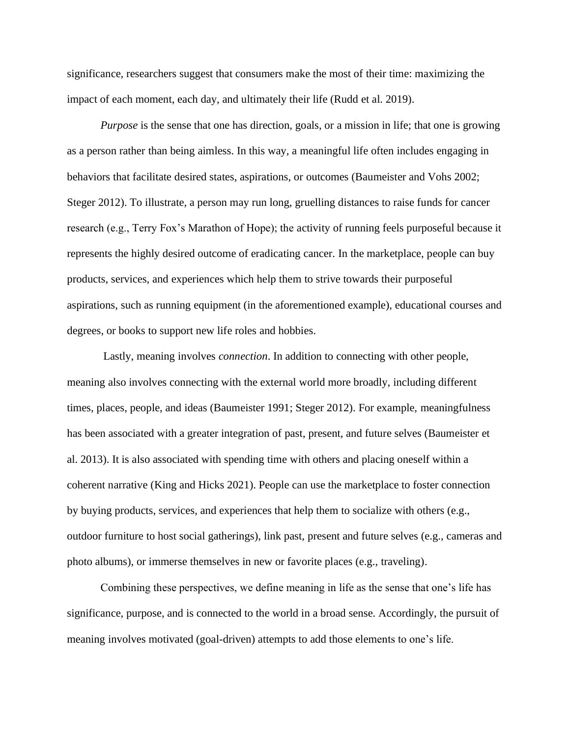significance, researchers suggest that consumers make the most of their time: maximizing the impact of each moment, each day, and ultimately their life (Rudd et al. 2019).

*Purpose* is the sense that one has direction, goals, or a mission in life; that one is growing as a person rather than being aimless. In this way, a meaningful life often includes engaging in behaviors that facilitate desired states, aspirations, or outcomes (Baumeister and Vohs 2002; Steger 2012). To illustrate, a person may run long, gruelling distances to raise funds for cancer research (e.g., Terry Fox's Marathon of Hope); the activity of running feels purposeful because it represents the highly desired outcome of eradicating cancer. In the marketplace, people can buy products, services, and experiences which help them to strive towards their purposeful aspirations, such as running equipment (in the aforementioned example), educational courses and degrees, or books to support new life roles and hobbies.

Lastly, meaning involves *connection*. In addition to connecting with other people, meaning also involves connecting with the external world more broadly, including different times, places, people, and ideas (Baumeister 1991; Steger 2012). For example, meaningfulness has been associated with a greater integration of past, present, and future selves (Baumeister et al. 2013). It is also associated with spending time with others and placing oneself within a coherent narrative (King and Hicks 2021). People can use the marketplace to foster connection by buying products, services, and experiences that help them to socialize with others (e.g., outdoor furniture to host social gatherings), link past, present and future selves (e.g., cameras and photo albums), or immerse themselves in new or favorite places (e.g., traveling).

Combining these perspectives, we define meaning in life as the sense that one's life has significance, purpose, and is connected to the world in a broad sense. Accordingly, the pursuit of meaning involves motivated (goal-driven) attempts to add those elements to one's life.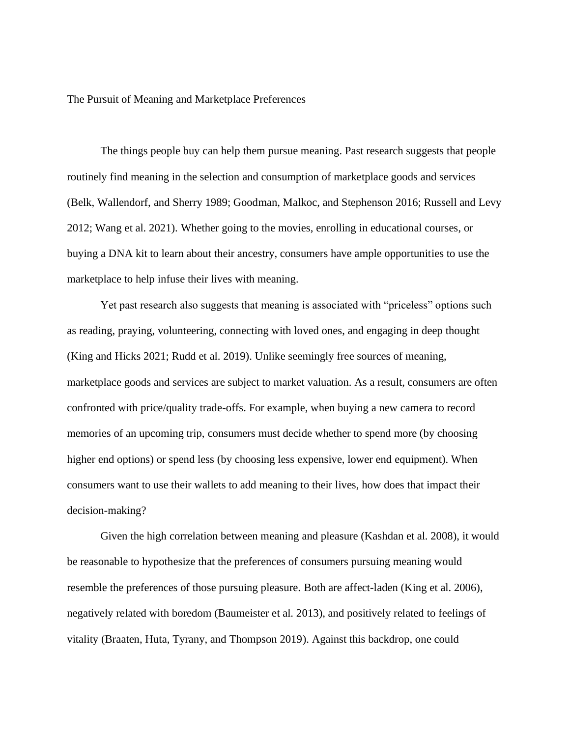The Pursuit of Meaning and Marketplace Preferences

The things people buy can help them pursue meaning. Past research suggests that people routinely find meaning in the selection and consumption of marketplace goods and services (Belk, Wallendorf, and Sherry 1989; Goodman, Malkoc, and Stephenson 2016; Russell and Levy 2012; Wang et al. 2021). Whether going to the movies, enrolling in educational courses, or buying a DNA kit to learn about their ancestry, consumers have ample opportunities to use the marketplace to help infuse their lives with meaning.

Yet past research also suggests that meaning is associated with "priceless" options such as reading, praying, volunteering, connecting with loved ones, and engaging in deep thought (King and Hicks 2021; Rudd et al. 2019). Unlike seemingly free sources of meaning, marketplace goods and services are subject to market valuation. As a result, consumers are often confronted with price/quality trade-offs. For example, when buying a new camera to record memories of an upcoming trip, consumers must decide whether to spend more (by choosing higher end options) or spend less (by choosing less expensive, lower end equipment). When consumers want to use their wallets to add meaning to their lives, how does that impact their decision-making?

Given the high correlation between meaning and pleasure (Kashdan et al. 2008), it would be reasonable to hypothesize that the preferences of consumers pursuing meaning would resemble the preferences of those pursuing pleasure. Both are affect-laden (King et al. 2006), negatively related with boredom (Baumeister et al. 2013), and positively related to feelings of vitality (Braaten, Huta, Tyrany, and Thompson 2019). Against this backdrop, one could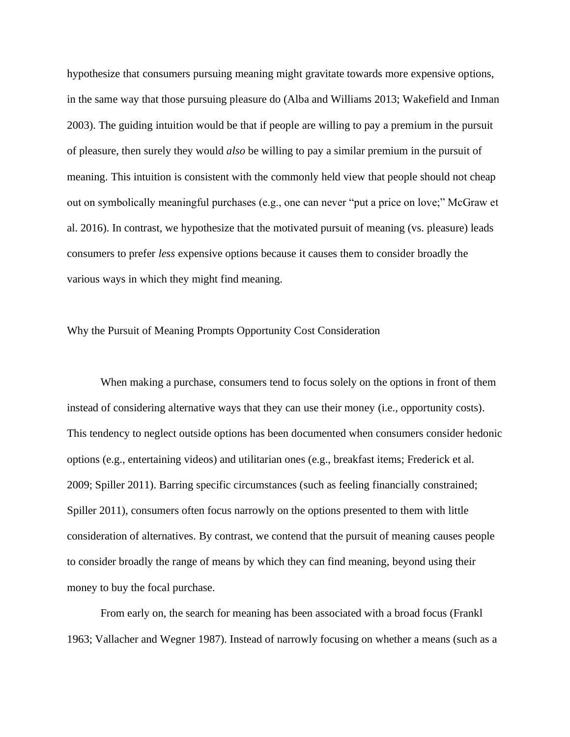hypothesize that consumers pursuing meaning might gravitate towards more expensive options, in the same way that those pursuing pleasure do (Alba and Williams 2013; Wakefield and Inman 2003). The guiding intuition would be that if people are willing to pay a premium in the pursuit of pleasure, then surely they would *also* be willing to pay a similar premium in the pursuit of meaning. This intuition is consistent with the commonly held view that people should not cheap out on symbolically meaningful purchases (e.g., one can never "put a price on love;" McGraw et al. 2016). In contrast, we hypothesize that the motivated pursuit of meaning (vs. pleasure) leads consumers to prefer *less* expensive options because it causes them to consider broadly the various ways in which they might find meaning.

#### Why the Pursuit of Meaning Prompts Opportunity Cost Consideration

When making a purchase, consumers tend to focus solely on the options in front of them instead of considering alternative ways that they can use their money (i.e., opportunity costs). This tendency to neglect outside options has been documented when consumers consider hedonic options (e.g., entertaining videos) and utilitarian ones (e.g., breakfast items; Frederick et al. 2009; Spiller 2011). Barring specific circumstances (such as feeling financially constrained; Spiller 2011), consumers often focus narrowly on the options presented to them with little consideration of alternatives. By contrast, we contend that the pursuit of meaning causes people to consider broadly the range of means by which they can find meaning, beyond using their money to buy the focal purchase.

From early on, the search for meaning has been associated with a broad focus (Frankl 1963; Vallacher and Wegner 1987). Instead of narrowly focusing on whether a means (such as a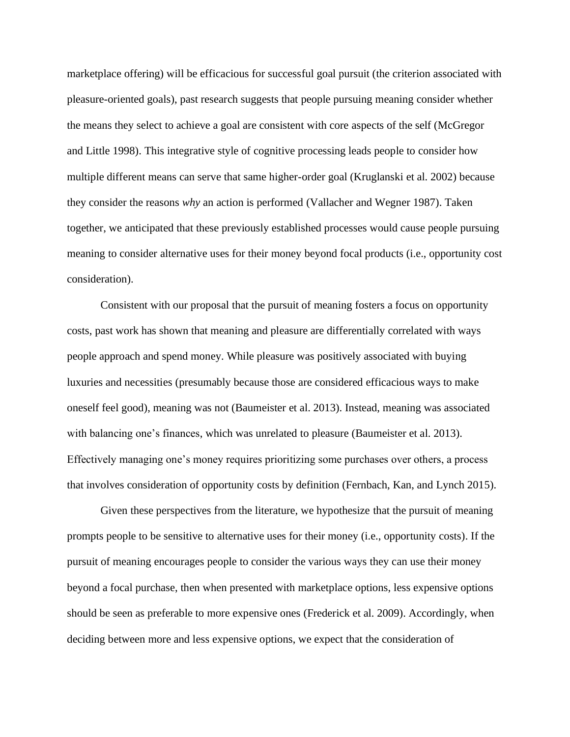marketplace offering) will be efficacious for successful goal pursuit (the criterion associated with pleasure-oriented goals), past research suggests that people pursuing meaning consider whether the means they select to achieve a goal are consistent with core aspects of the self (McGregor and Little 1998). This integrative style of cognitive processing leads people to consider how multiple different means can serve that same higher-order goal (Kruglanski et al. 2002) because they consider the reasons *why* an action is performed (Vallacher and Wegner 1987). Taken together, we anticipated that these previously established processes would cause people pursuing meaning to consider alternative uses for their money beyond focal products (i.e., opportunity cost consideration).

Consistent with our proposal that the pursuit of meaning fosters a focus on opportunity costs, past work has shown that meaning and pleasure are differentially correlated with ways people approach and spend money. While pleasure was positively associated with buying luxuries and necessities (presumably because those are considered efficacious ways to make oneself feel good), meaning was not (Baumeister et al. 2013). Instead, meaning was associated with balancing one's finances, which was unrelated to pleasure (Baumeister et al. 2013). Effectively managing one's money requires prioritizing some purchases over others, a process that involves consideration of opportunity costs by definition (Fernbach, Kan, and Lynch 2015).

Given these perspectives from the literature, we hypothesize that the pursuit of meaning prompts people to be sensitive to alternative uses for their money (i.e., opportunity costs). If the pursuit of meaning encourages people to consider the various ways they can use their money beyond a focal purchase, then when presented with marketplace options, less expensive options should be seen as preferable to more expensive ones (Frederick et al. 2009). Accordingly, when deciding between more and less expensive options, we expect that the consideration of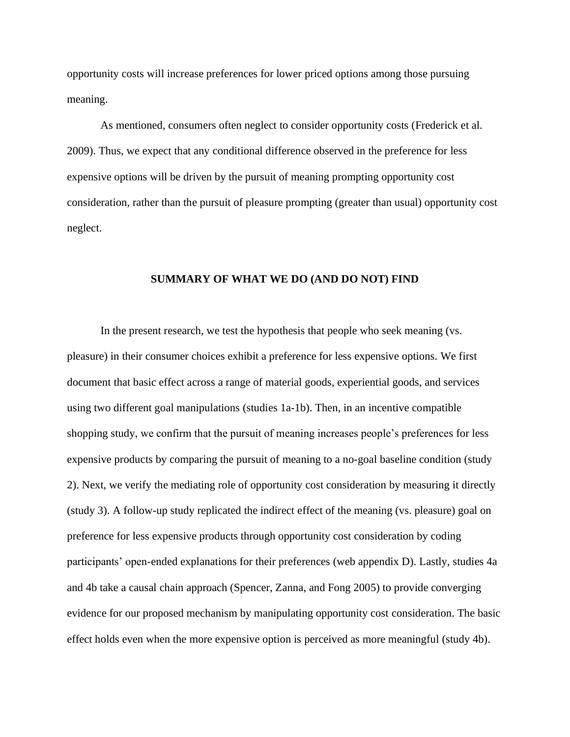opportunity costs will increase preferences for lower priced options among those pursuing meaning.

As mentioned, consumers often neglect to consider opportunity costs (Frederick et al. 2009). Thus, we expect that any conditional difference observed in the preference for less expensive options will be driven by the pursuit of meaning prompting opportunity cost consideration, rather than the pursuit of pleasure prompting (greater than usual) opportunity cost neglect.

### **SUMMARY OF WHAT WE DO (AND DO NOT) FIND**

In the present research, we test the hypothesis that people who seek meaning (vs. pleasure) in their consumer choices exhibit a preference for less expensive options. We first document that basic effect across a range of material goods, experiential goods, and services using two different goal manipulations (studies 1a-1b). Then, in an incentive compatible shopping study, we confirm that the pursuit of meaning increases people's preferences for less expensive products by comparing the pursuit of meaning to a no-goal baseline condition (study 2). Next, we verify the mediating role of opportunity cost consideration by measuring it directly (study 3). A follow-up study replicated the indirect effect of the meaning (vs. pleasure) goal on preference for less expensive products through opportunity cost consideration by coding participants' open-ended explanations for their preferences (web appendix D). Lastly, studies 4a and 4b take a causal chain approach (Spencer, Zanna, and Fong 2005) to provide converging evidence for our proposed mechanism by manipulating opportunity cost consideration. The basic effect holds even when the more expensive option is perceived as more meaningful (study 4b).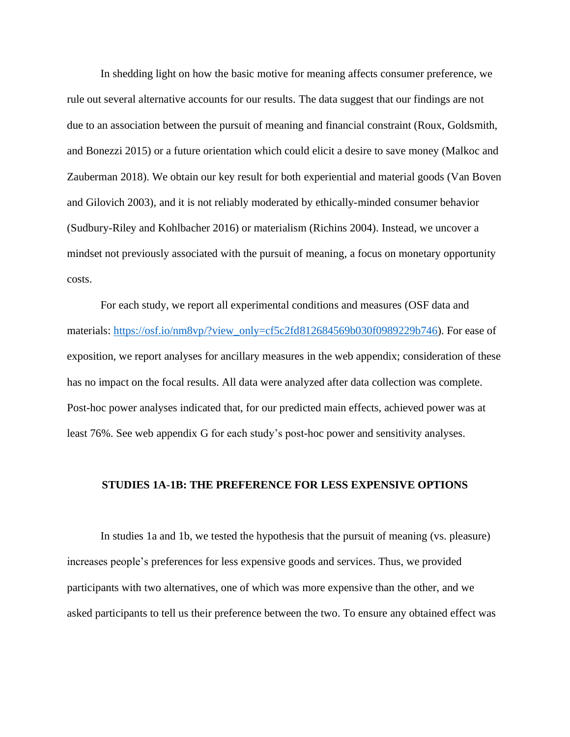In shedding light on how the basic motive for meaning affects consumer preference, we rule out several alternative accounts for our results. The data suggest that our findings are not due to an association between the pursuit of meaning and financial constraint (Roux, Goldsmith, and Bonezzi 2015) or a future orientation which could elicit a desire to save money (Malkoc and Zauberman 2018). We obtain our key result for both experiential and material goods (Van Boven and Gilovich 2003), and it is not reliably moderated by ethically-minded consumer behavior (Sudbury-Riley and Kohlbacher 2016) or materialism (Richins 2004). Instead, we uncover a mindset not previously associated with the pursuit of meaning, a focus on monetary opportunity costs.

For each study, we report all experimental conditions and measures (OSF data and materials: [https://osf.io/nm8vp/?view\\_only=cf5c2fd812684569b030f0989229b746\)](https://osf.io/nm8vp/?view_only=cf5c2fd812684569b030f0989229b746). For ease of exposition, we report analyses for ancillary measures in the web appendix; consideration of these has no impact on the focal results. All data were analyzed after data collection was complete. Post-hoc power analyses indicated that, for our predicted main effects, achieved power was at least 76%. See web appendix G for each study's post-hoc power and sensitivity analyses.

#### **STUDIES 1A-1B: THE PREFERENCE FOR LESS EXPENSIVE OPTIONS**

In studies 1a and 1b, we tested the hypothesis that the pursuit of meaning (vs. pleasure) increases people's preferences for less expensive goods and services. Thus, we provided participants with two alternatives, one of which was more expensive than the other, and we asked participants to tell us their preference between the two. To ensure any obtained effect was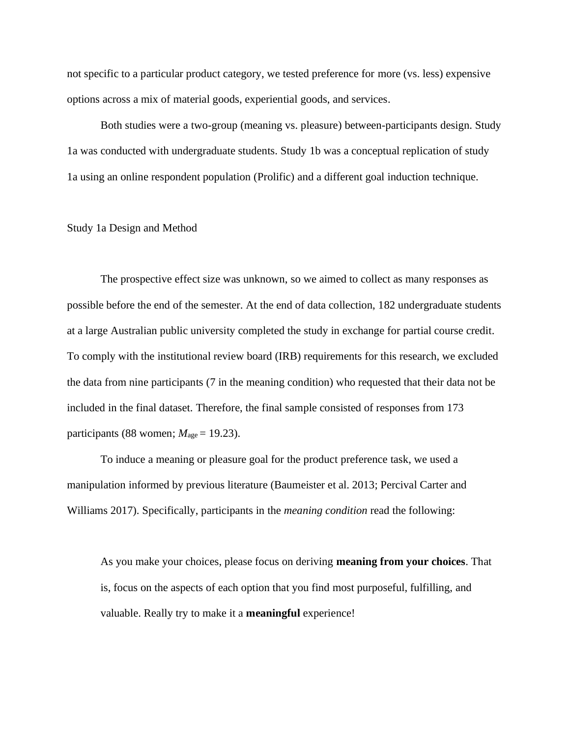not specific to a particular product category, we tested preference for more (vs. less) expensive options across a mix of material goods, experiential goods, and services.

Both studies were a two-group (meaning vs. pleasure) between-participants design. Study 1a was conducted with undergraduate students. Study 1b was a conceptual replication of study 1a using an online respondent population (Prolific) and a different goal induction technique.

#### Study 1a Design and Method

The prospective effect size was unknown, so we aimed to collect as many responses as possible before the end of the semester. At the end of data collection, 182 undergraduate students at a large Australian public university completed the study in exchange for partial course credit. To comply with the institutional review board (IRB) requirements for this research, we excluded the data from nine participants (7 in the meaning condition) who requested that their data not be included in the final dataset. Therefore, the final sample consisted of responses from 173 participants (88 women;  $M_{\text{age}} = 19.23$ ).

To induce a meaning or pleasure goal for the product preference task, we used a manipulation informed by previous literature (Baumeister et al. 2013; Percival Carter and Williams 2017). Specifically, participants in the *meaning condition* read the following:

As you make your choices, please focus on deriving **meaning from your choices**. That is, focus on the aspects of each option that you find most purposeful, fulfilling, and valuable. Really try to make it a **meaningful** experience!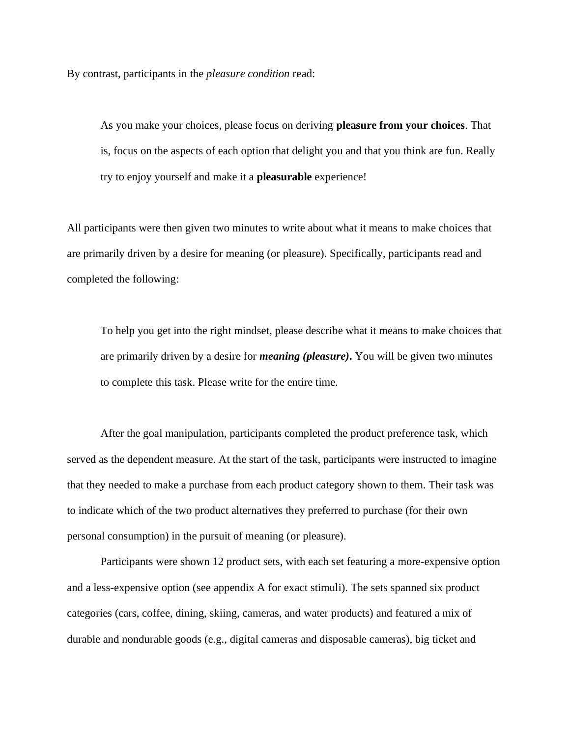By contrast, participants in the *pleasure condition* read:

As you make your choices, please focus on deriving **pleasure from your choices**. That is, focus on the aspects of each option that delight you and that you think are fun. Really try to enjoy yourself and make it a **pleasurable** experience!

All participants were then given two minutes to write about what it means to make choices that are primarily driven by a desire for meaning (or pleasure). Specifically, participants read and completed the following:

To help you get into the right mindset, please describe what it means to make choices that are primarily driven by a desire for *meaning (pleasure)***.** You will be given two minutes to complete this task. Please write for the entire time.

After the goal manipulation, participants completed the product preference task, which served as the dependent measure. At the start of the task, participants were instructed to imagine that they needed to make a purchase from each product category shown to them. Their task was to indicate which of the two product alternatives they preferred to purchase (for their own personal consumption) in the pursuit of meaning (or pleasure).

Participants were shown 12 product sets, with each set featuring a more-expensive option and a less-expensive option (see appendix A for exact stimuli). The sets spanned six product categories (cars, coffee, dining, skiing, cameras, and water products) and featured a mix of durable and nondurable goods (e.g., digital cameras and disposable cameras), big ticket and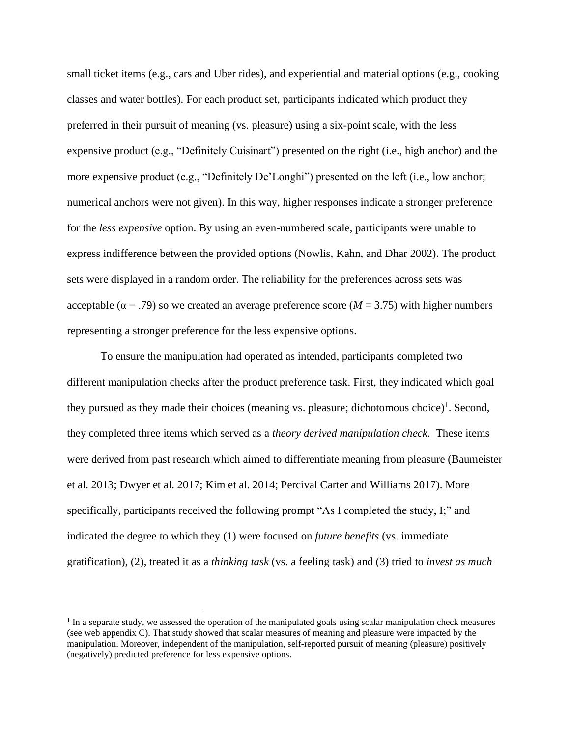small ticket items (e.g., cars and Uber rides), and experiential and material options (e.g., cooking classes and water bottles). For each product set, participants indicated which product they preferred in their pursuit of meaning (vs. pleasure) using a six-point scale, with the less expensive product (e.g., "Definitely Cuisinart") presented on the right (i.e., high anchor) and the more expensive product (e.g., "Definitely De'Longhi") presented on the left (i.e., low anchor; numerical anchors were not given). In this way, higher responses indicate a stronger preference for the *less expensive* option. By using an even-numbered scale, participants were unable to express indifference between the provided options (Nowlis, Kahn, and Dhar 2002). The product sets were displayed in a random order. The reliability for the preferences across sets was acceptable ( $\alpha$  = .79) so we created an average preference score ( $M = 3.75$ ) with higher numbers representing a stronger preference for the less expensive options.

To ensure the manipulation had operated as intended, participants completed two different manipulation checks after the product preference task. First, they indicated which goal they pursued as they made their choices (meaning vs. pleasure; dichotomous choice)<sup>1</sup>. Second, they completed three items which served as a *theory derived manipulation check.* These items were derived from past research which aimed to differentiate meaning from pleasure (Baumeister et al. 2013; Dwyer et al. 2017; Kim et al. 2014; Percival Carter and Williams 2017). More specifically, participants received the following prompt "As I completed the study, I;" and indicated the degree to which they (1) were focused on *future benefits* (vs. immediate gratification), (2), treated it as a *thinking task* (vs. a feeling task) and (3) tried to *invest as much* 

<sup>&</sup>lt;sup>1</sup> In a separate study, we assessed the operation of the manipulated goals using scalar manipulation check measures (see web appendix C). That study showed that scalar measures of meaning and pleasure were impacted by the manipulation. Moreover, independent of the manipulation, self-reported pursuit of meaning (pleasure) positively (negatively) predicted preference for less expensive options.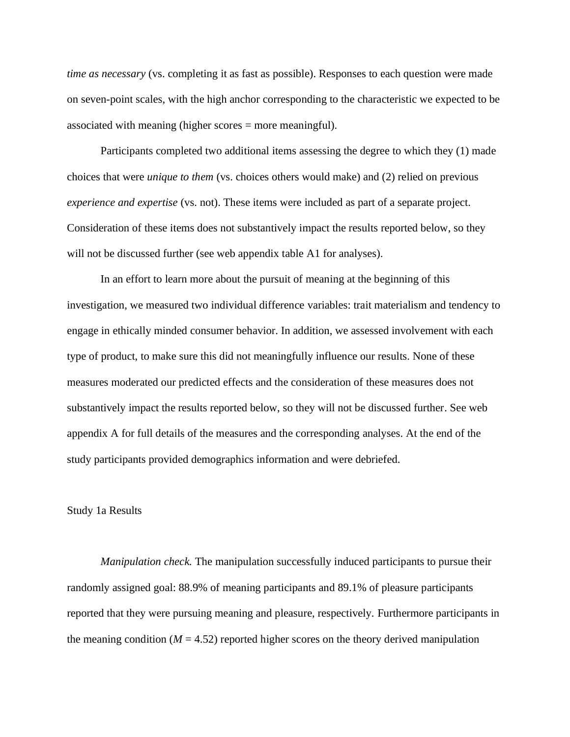*time as necessary* (vs. completing it as fast as possible). Responses to each question were made on seven-point scales, with the high anchor corresponding to the characteristic we expected to be associated with meaning (higher scores = more meaningful).

Participants completed two additional items assessing the degree to which they (1) made choices that were *unique to them* (vs. choices others would make) and (2) relied on previous *experience and expertise* (vs. not). These items were included as part of a separate project. Consideration of these items does not substantively impact the results reported below, so they will not be discussed further (see web appendix table A1 for analyses).

In an effort to learn more about the pursuit of meaning at the beginning of this investigation, we measured two individual difference variables: trait materialism and tendency to engage in ethically minded consumer behavior. In addition, we assessed involvement with each type of product, to make sure this did not meaningfully influence our results. None of these measures moderated our predicted effects and the consideration of these measures does not substantively impact the results reported below, so they will not be discussed further. See web appendix A for full details of the measures and the corresponding analyses. At the end of the study participants provided demographics information and were debriefed.

#### Study 1a Results

*Manipulation check.* The manipulation successfully induced participants to pursue their randomly assigned goal: 88.9% of meaning participants and 89.1% of pleasure participants reported that they were pursuing meaning and pleasure, respectively. Furthermore participants in the meaning condition ( $M = 4.52$ ) reported higher scores on the theory derived manipulation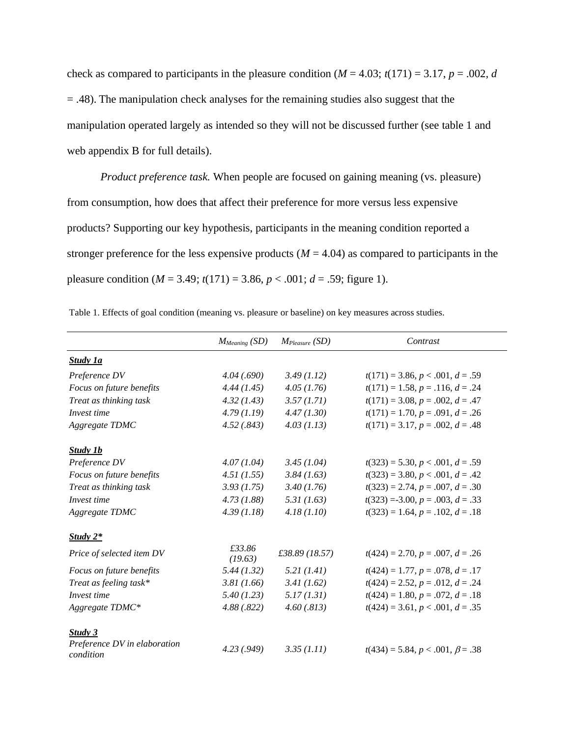check as compared to participants in the pleasure condition  $(M = 4.03; t(171) = 3.17, p = .002, d$ = .48). The manipulation check analyses for the remaining studies also suggest that the manipulation operated largely as intended so they will not be discussed further (see table 1 and web appendix B for full details).

*Product preference task.* When people are focused on gaining meaning (vs. pleasure) from consumption, how does that affect their preference for more versus less expensive products? Supporting our key hypothesis, participants in the meaning condition reported a stronger preference for the less expensive products ( $M = 4.04$ ) as compared to participants in the pleasure condition ( $M = 3.49$ ;  $t(171) = 3.86$ ,  $p < .001$ ;  $d = .59$ ; figure 1).

|                                           | $M_{Meaning}$ (SD) | $M_{Please}$ (SD) | Contrast                               |
|-------------------------------------------|--------------------|-------------------|----------------------------------------|
| <b>Study 1a</b>                           |                    |                   |                                        |
| Preference DV                             | 4.04(.690)         | 3.49(1.12)        | $t(171) = 3.86, p < .001, d = .59$     |
| Focus on future benefits                  | 4.44(1.45)         | 4.05(1.76)        | $t(171) = 1.58, p = .116, d = .24$     |
| Treat as thinking task                    | 4.32(1.43)         | 3.57(1.71)        | $t(171) = 3.08, p = .002, d = .47$     |
| Invest time                               | 4.79(1.19)         | 4.47(1.30)        | $t(171) = 1.70, p = .091, d = .26$     |
| Aggregate TDMC                            | 4.52(.843)         | 4.03(1.13)        | $t(171) = 3.17, p = .002, d = .48$     |
| Study 1b                                  |                    |                   |                                        |
| Preference DV                             | 4.07(1.04)         | 3.45(1.04)        | $t(323) = 5.30, p < .001, d = .59$     |
| Focus on future benefits                  | 4.51(1.55)         | 3.84(1.63)        | $t(323) = 3.80, p < .001, d = .42$     |
| Treat as thinking task                    | 3.93(1.75)         | 3.40(1.76)        | $t(323) = 2.74, p = .007, d = .30$     |
| Invest time                               | 4.73(1.88)         | 5.31(1.63)        | $t(323) = 3.00, p = .003, d = .33$     |
| Aggregate TDMC                            | 4.39(1.18)         | 4.18(1.10)        | $t(323) = 1.64, p = .102, d = .18$     |
| Study $2^*$                               |                    |                   |                                        |
| Price of selected item DV                 | £33.86<br>(19.63)  | £38.89 (18.57)    | $t(424) = 2.70, p = .007, d = .26$     |
| Focus on future benefits                  | 5.44(1.32)         | 5.21(1.41)        | $t(424) = 1.77, p = .078, d = .17$     |
| Treat as feeling task*                    | 3.81(1.66)         | 3.41(1.62)        | $t(424) = 2.52, p = .012, d = .24$     |
| Invest time                               | 5.40(1.23)         | 5.17(1.31)        | $t(424) = 1.80, p = .072, d = .18$     |
| Aggregate TDMC*                           | 4.88(.822)         | 4.60(.813)        | $t(424) = 3.61, p < .001, d = .35$     |
| <b>Study 3</b>                            |                    |                   |                                        |
| Preference DV in elaboration<br>condition | 4.23(.949)         | 3.35 (1.11)       | $t(434) = 5.84, p < .001, \beta = .38$ |

Table 1. Effects of goal condition (meaning vs. pleasure or baseline) on key measures across studies.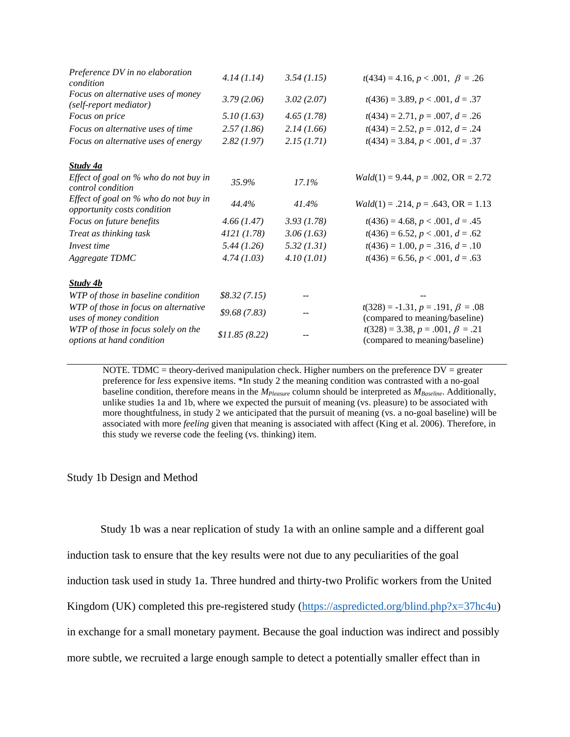| Preference DV in no elaboration<br>condition                         | 4.14(1.14)    | 3.54(1.15) | $t(434) = 4.16, p < .001, \ \beta = .26$                                  |
|----------------------------------------------------------------------|---------------|------------|---------------------------------------------------------------------------|
| Focus on alternative uses of money<br>(self-report mediator)         | 3.79(2.06)    | 3.02(2.07) | $t(436) = 3.89, p < .001, d = .37$                                        |
| Focus on price                                                       | 5.10(1.63)    | 4.65(1.78) | $t(434) = 2.71, p = .007, d = .26$                                        |
| Focus on alternative uses of time                                    | 2.57(1.86)    | 2.14(1.66) | $t(434) = 2.52, p = .012, d = .24$                                        |
| Focus on alternative uses of energy                                  | 2.82(1.97)    | 2.15(1.71) | $t(434) = 3.84, p < .001, d = .37$                                        |
| <b>Study 4a</b>                                                      |               |            |                                                                           |
| Effect of goal on % who do not buy in<br>control condition           | 35.9%         | 17.1%      | $Wald(1) = 9.44, p = .002, OR = 2.72$                                     |
| Effect of goal on % who do not buy in<br>opportunity costs condition | 44.4%         | 41.4%      | $Wald(1) = .214, p = .643, OR = 1.13$                                     |
| Focus on future benefits                                             | 4.66(1.47)    | 3.93(1.78) | $t(436) = 4.68, p < .001, d = .45$                                        |
| Treat as thinking task                                               | 4121(1.78)    | 3.06(1.63) | $t(436) = 6.52, p < .001, d = .62$                                        |
| Invest time                                                          | 5.44(1.26)    | 5.32(1.31) | $t(436) = 1.00, p = .316, d = .10$                                        |
| Aggregate TDMC                                                       | 4.74(1.03)    | 4.10(1.01) | $t(436) = 6.56, p < .001, d = .63$                                        |
| <b>Study 4b</b>                                                      |               |            |                                                                           |
| WTP of those in baseline condition                                   | \$8.32(7.15)  |            |                                                                           |
| WTP of those in focus on alternative<br>uses of money condition      | \$9.68(7.83)  |            | $t(328) = -1.31, p = .191, \beta = .08$<br>(compared to meaning/baseline) |
| WTP of those in focus solely on the<br>options at hand condition     | \$11.85(8.22) |            | $t(328) = 3.38, p = .001, \beta = .21$<br>(compared to meaning/baseline)  |
|                                                                      |               |            |                                                                           |

NOTE. TDMC = theory-derived manipulation check. Higher numbers on the preference  $DV =$  greater preference for *less* expensive items. \*In study 2 the meaning condition was contrasted with a no-goal baseline condition, therefore means in the *MPleasure* column should be interpreted as *MBaseline*. Additionally, unlike studies 1a and 1b, where we expected the pursuit of meaning (vs. pleasure) to be associated with more thoughtfulness, in study 2 we anticipated that the pursuit of meaning (vs. a no-goal baseline) will be associated with more *feeling* given that meaning is associated with affect (King et al. 2006). Therefore, in this study we reverse code the feeling (vs. thinking) item.

#### Study 1b Design and Method

Study 1b was a near replication of study 1a with an online sample and a different goal induction task to ensure that the key results were not due to any peculiarities of the goal induction task used in study 1a. Three hundred and thirty-two Prolific workers from the United Kingdom (UK) completed this pre-registered study [\(https://aspredicted.org/blind.php?x=37hc4u\)](https://aspredicted.org/blind.php?x=37hc4u) in exchange for a small monetary payment. Because the goal induction was indirect and possibly more subtle, we recruited a large enough sample to detect a potentially smaller effect than in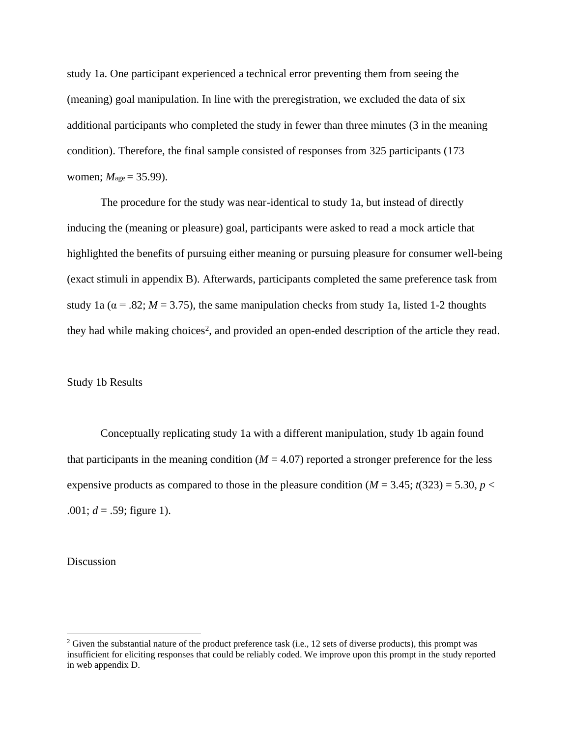study 1a. One participant experienced a technical error preventing them from seeing the (meaning) goal manipulation. In line with the preregistration, we excluded the data of six additional participants who completed the study in fewer than three minutes (3 in the meaning condition). Therefore, the final sample consisted of responses from 325 participants (173 women;  $M_{\text{age}} = 35.99$ ).

The procedure for the study was near-identical to study 1a, but instead of directly inducing the (meaning or pleasure) goal, participants were asked to read a mock article that highlighted the benefits of pursuing either meaning or pursuing pleasure for consumer well-being (exact stimuli in appendix B). Afterwards, participants completed the same preference task from study 1a ( $\alpha$  = .82; *M* = 3.75), the same manipulation checks from study 1a, listed 1-2 thoughts they had while making choices<sup>2</sup>, and provided an open-ended description of the article they read.

### Study 1b Results

Conceptually replicating study 1a with a different manipulation, study 1b again found that participants in the meaning condition  $(M = 4.07)$  reported a stronger preference for the less expensive products as compared to those in the pleasure condition  $(M = 3.45; t(323) = 5.30, p <$  $.001; d = .59;$  figure 1).

#### Discussion

<sup>&</sup>lt;sup>2</sup> Given the substantial nature of the product preference task (i.e., 12 sets of diverse products), this prompt was insufficient for eliciting responses that could be reliably coded. We improve upon this prompt in the study reported in web appendix D.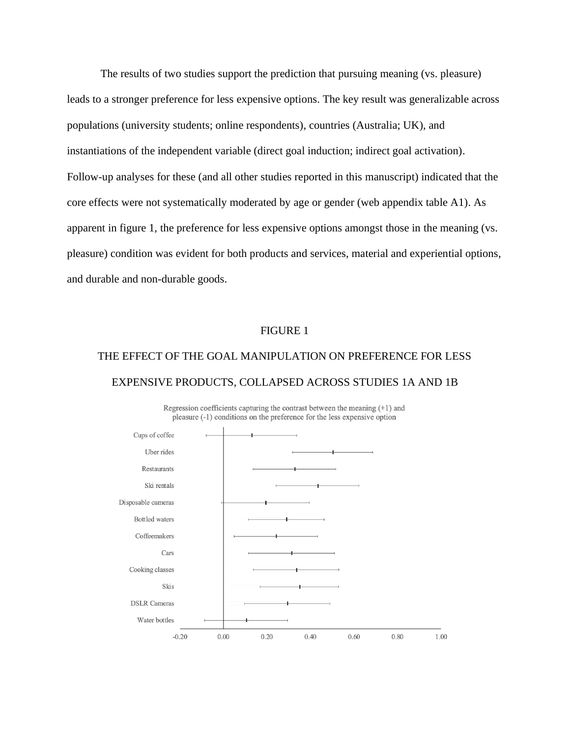The results of two studies support the prediction that pursuing meaning (vs. pleasure) leads to a stronger preference for less expensive options. The key result was generalizable across populations (university students; online respondents), countries (Australia; UK), and instantiations of the independent variable (direct goal induction; indirect goal activation). Follow-up analyses for these (and all other studies reported in this manuscript) indicated that the core effects were not systematically moderated by age or gender (web appendix table A1). As apparent in figure 1, the preference for less expensive options amongst those in the meaning (vs. pleasure) condition was evident for both products and services, material and experiential options, and durable and non-durable goods.

#### FIGURE 1

# THE EFFECT OF THE GOAL MANIPULATION ON PREFERENCE FOR LESS EXPENSIVE PRODUCTS, COLLAPSED ACROSS STUDIES 1A AND 1B



Regression coefficients capturing the contrast between the meaning  $(+1)$  and pleasure (-1) conditions on the preference for the less expensive option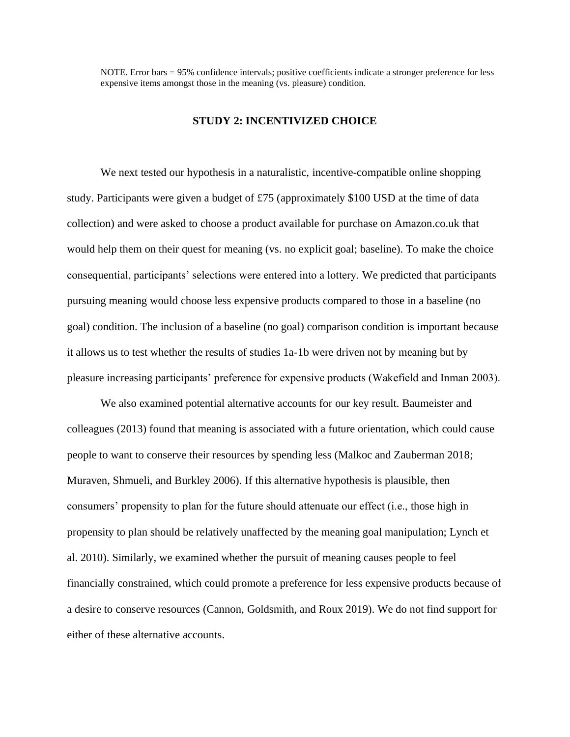NOTE. Error bars = 95% confidence intervals; positive coefficients indicate a stronger preference for less expensive items amongst those in the meaning (vs. pleasure) condition.

#### **STUDY 2: INCENTIVIZED CHOICE**

We next tested our hypothesis in a naturalistic, incentive-compatible online shopping study. Participants were given a budget of £75 (approximately \$100 USD at the time of data collection) and were asked to choose a product available for purchase on Amazon.co.uk that would help them on their quest for meaning (vs. no explicit goal; baseline). To make the choice consequential, participants' selections were entered into a lottery. We predicted that participants pursuing meaning would choose less expensive products compared to those in a baseline (no goal) condition. The inclusion of a baseline (no goal) comparison condition is important because it allows us to test whether the results of studies 1a-1b were driven not by meaning but by pleasure increasing participants' preference for expensive products (Wakefield and Inman 2003).

We also examined potential alternative accounts for our key result. Baumeister and colleagues (2013) found that meaning is associated with a future orientation, which could cause people to want to conserve their resources by spending less (Malkoc and Zauberman 2018; Muraven, Shmueli, and Burkley 2006). If this alternative hypothesis is plausible, then consumers' propensity to plan for the future should attenuate our effect (i.e., those high in propensity to plan should be relatively unaffected by the meaning goal manipulation; Lynch et al. 2010). Similarly, we examined whether the pursuit of meaning causes people to feel financially constrained, which could promote a preference for less expensive products because of a desire to conserve resources (Cannon, Goldsmith, and Roux 2019). We do not find support for either of these alternative accounts.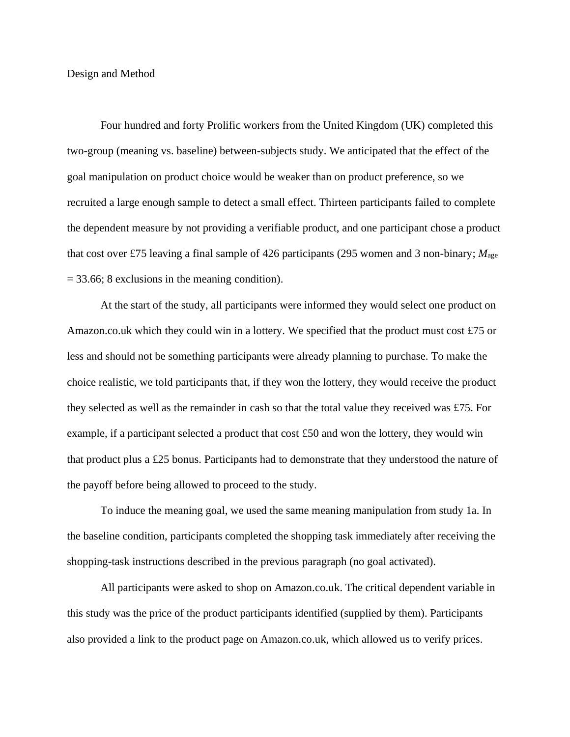Design and Method

Four hundred and forty Prolific workers from the United Kingdom (UK) completed this two-group (meaning vs. baseline) between-subjects study. We anticipated that the effect of the goal manipulation on product choice would be weaker than on product preference, so we recruited a large enough sample to detect a small effect. Thirteen participants failed to complete the dependent measure by not providing a verifiable product, and one participant chose a product that cost over £75 leaving a final sample of 426 participants (295 women and 3 non-binary; *M*age  $= 33.66$ ; 8 exclusions in the meaning condition).

At the start of the study, all participants were informed they would select one product on Amazon.co.uk which they could win in a lottery. We specified that the product must cost £75 or less and should not be something participants were already planning to purchase. To make the choice realistic, we told participants that, if they won the lottery, they would receive the product they selected as well as the remainder in cash so that the total value they received was £75. For example, if a participant selected a product that cost £50 and won the lottery, they would win that product plus a £25 bonus. Participants had to demonstrate that they understood the nature of the payoff before being allowed to proceed to the study.

To induce the meaning goal, we used the same meaning manipulation from study 1a. In the baseline condition, participants completed the shopping task immediately after receiving the shopping-task instructions described in the previous paragraph (no goal activated).

All participants were asked to shop on Amazon.co.uk. The critical dependent variable in this study was the price of the product participants identified (supplied by them). Participants also provided a link to the product page on Amazon.co.uk, which allowed us to verify prices.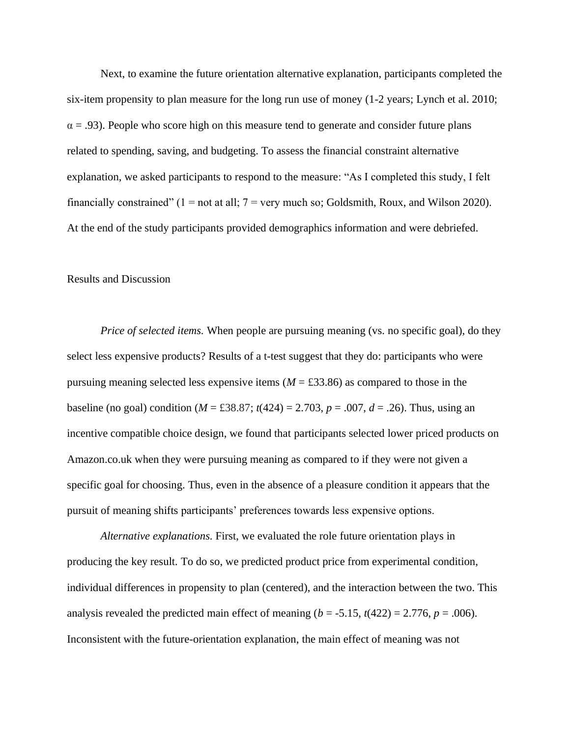Next, to examine the future orientation alternative explanation, participants completed the six-item propensity to plan measure for the long run use of money (1-2 years; Lynch et al. 2010;  $\alpha$  = .93). People who score high on this measure tend to generate and consider future plans related to spending, saving, and budgeting. To assess the financial constraint alternative explanation, we asked participants to respond to the measure: "As I completed this study, I felt financially constrained"  $(1 = not at all; 7 = very much so; Goldsmith, Roux, and Wilson 2020)$ . At the end of the study participants provided demographics information and were debriefed.

### Results and Discussion

*Price of selected items.* When people are pursuing meaning (vs. no specific goal), do they select less expensive products? Results of a t-test suggest that they do: participants who were pursuing meaning selected less expensive items  $(M = \text{\textsterling}33.86)$  as compared to those in the baseline (no goal) condition ( $M = \text{\textsterling}38.87$ ;  $t(424) = 2.703$ ,  $p = .007$ ,  $d = .26$ ). Thus, using an incentive compatible choice design, we found that participants selected lower priced products on Amazon.co.uk when they were pursuing meaning as compared to if they were not given a specific goal for choosing. Thus, even in the absence of a pleasure condition it appears that the pursuit of meaning shifts participants' preferences towards less expensive options.

*Alternative explanations.* First, we evaluated the role future orientation plays in producing the key result. To do so, we predicted product price from experimental condition, individual differences in propensity to plan (centered), and the interaction between the two. This analysis revealed the predicted main effect of meaning ( $b = -5.15$ ,  $t(422) = 2.776$ ,  $p = .006$ ). Inconsistent with the future-orientation explanation, the main effect of meaning was not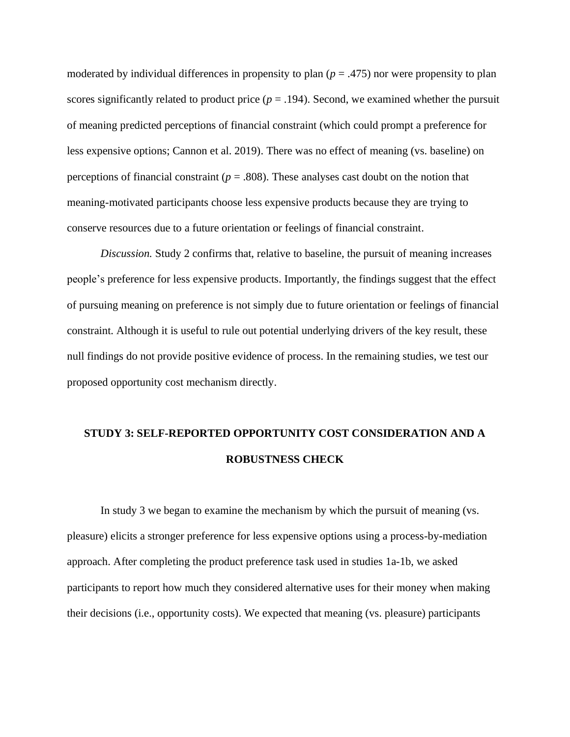moderated by individual differences in propensity to plan  $(p = .475)$  nor were propensity to plan scores significantly related to product price  $(p = .194)$ . Second, we examined whether the pursuit of meaning predicted perceptions of financial constraint (which could prompt a preference for less expensive options; Cannon et al. 2019). There was no effect of meaning (vs. baseline) on perceptions of financial constraint ( $p = .808$ ). These analyses cast doubt on the notion that meaning-motivated participants choose less expensive products because they are trying to conserve resources due to a future orientation or feelings of financial constraint.

*Discussion.* Study 2 confirms that, relative to baseline, the pursuit of meaning increases people's preference for less expensive products. Importantly, the findings suggest that the effect of pursuing meaning on preference is not simply due to future orientation or feelings of financial constraint. Although it is useful to rule out potential underlying drivers of the key result, these null findings do not provide positive evidence of process. In the remaining studies, we test our proposed opportunity cost mechanism directly.

# **STUDY 3: SELF-REPORTED OPPORTUNITY COST CONSIDERATION AND A ROBUSTNESS CHECK**

In study 3 we began to examine the mechanism by which the pursuit of meaning (vs. pleasure) elicits a stronger preference for less expensive options using a process-by-mediation approach. After completing the product preference task used in studies 1a-1b, we asked participants to report how much they considered alternative uses for their money when making their decisions (i.e., opportunity costs). We expected that meaning (vs. pleasure) participants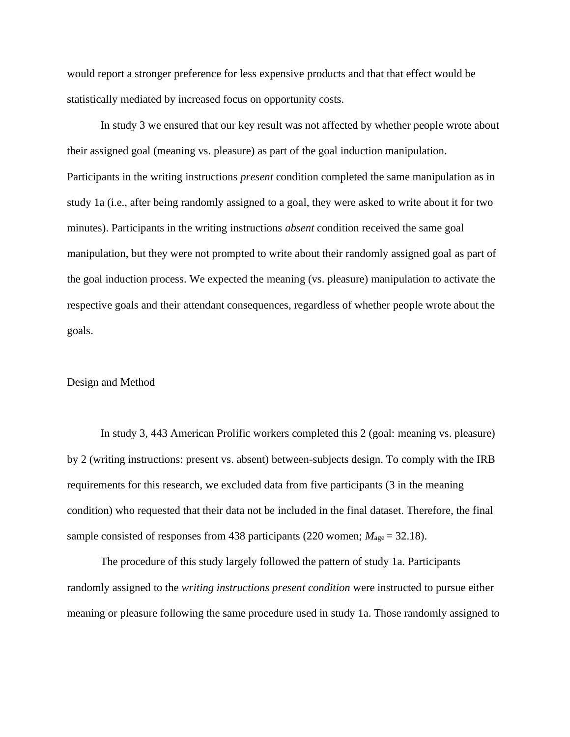would report a stronger preference for less expensive products and that that effect would be statistically mediated by increased focus on opportunity costs.

In study 3 we ensured that our key result was not affected by whether people wrote about their assigned goal (meaning vs. pleasure) as part of the goal induction manipulation. Participants in the writing instructions *present* condition completed the same manipulation as in study 1a (i.e., after being randomly assigned to a goal, they were asked to write about it for two minutes). Participants in the writing instructions *absent* condition received the same goal manipulation, but they were not prompted to write about their randomly assigned goal as part of the goal induction process. We expected the meaning (vs. pleasure) manipulation to activate the respective goals and their attendant consequences, regardless of whether people wrote about the goals.

#### Design and Method

In study 3, 443 American Prolific workers completed this 2 (goal: meaning vs. pleasure) by 2 (writing instructions: present vs. absent) between-subjects design. To comply with the IRB requirements for this research, we excluded data from five participants (3 in the meaning condition) who requested that their data not be included in the final dataset. Therefore, the final sample consisted of responses from 438 participants (220 women;  $M_{\text{age}} = 32.18$ ).

The procedure of this study largely followed the pattern of study 1a. Participants randomly assigned to the *writing instructions present condition* were instructed to pursue either meaning or pleasure following the same procedure used in study 1a. Those randomly assigned to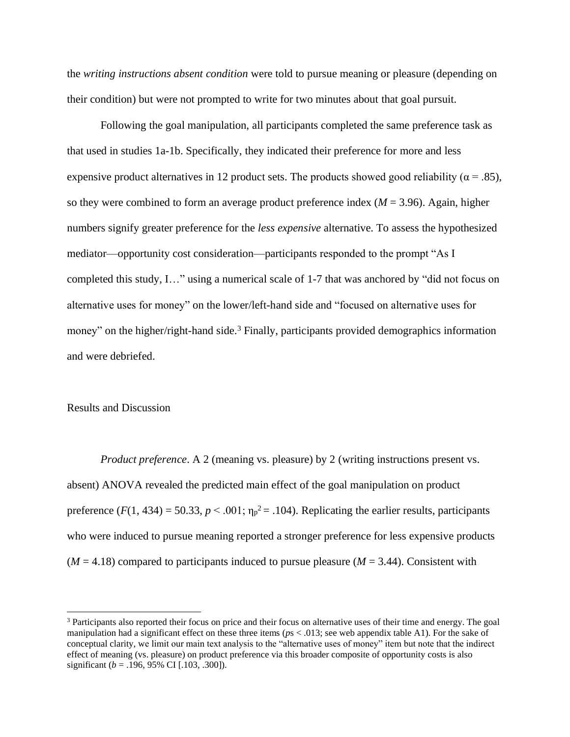the *writing instructions absent condition* were told to pursue meaning or pleasure (depending on their condition) but were not prompted to write for two minutes about that goal pursuit.

Following the goal manipulation, all participants completed the same preference task as that used in studies 1a-1b. Specifically, they indicated their preference for more and less expensive product alternatives in 12 product sets. The products showed good reliability ( $\alpha$  = .85), so they were combined to form an average product preference index  $(M = 3.96)$ . Again, higher numbers signify greater preference for the *less expensive* alternative. To assess the hypothesized mediator—opportunity cost consideration—participants responded to the prompt "As I completed this study, I…" using a numerical scale of 1-7 that was anchored by "did not focus on alternative uses for money" on the lower/left-hand side and "focused on alternative uses for money" on the higher/right-hand side.<sup>3</sup> Finally, participants provided demographics information and were debriefed.

#### Results and Discussion

*Product preference*. A 2 (meaning vs. pleasure) by 2 (writing instructions present vs. absent) ANOVA revealed the predicted main effect of the goal manipulation on product preference  $(F(1, 434) = 50.33, p < .001; \eta_p^2 = .104)$ . Replicating the earlier results, participants who were induced to pursue meaning reported a stronger preference for less expensive products  $(M = 4.18)$  compared to participants induced to pursue pleasure  $(M = 3.44)$ . Consistent with

<sup>3</sup> Participants also reported their focus on price and their focus on alternative uses of their time and energy. The goal manipulation had a significant effect on these three items ( $ps < .013$ ; see web appendix table A1). For the sake of conceptual clarity, we limit our main text analysis to the "alternative uses of money" item but note that the indirect effect of meaning (vs. pleasure) on product preference via this broader composite of opportunity costs is also significant ( $b = .196, 95\%$  CI [.103, .300]).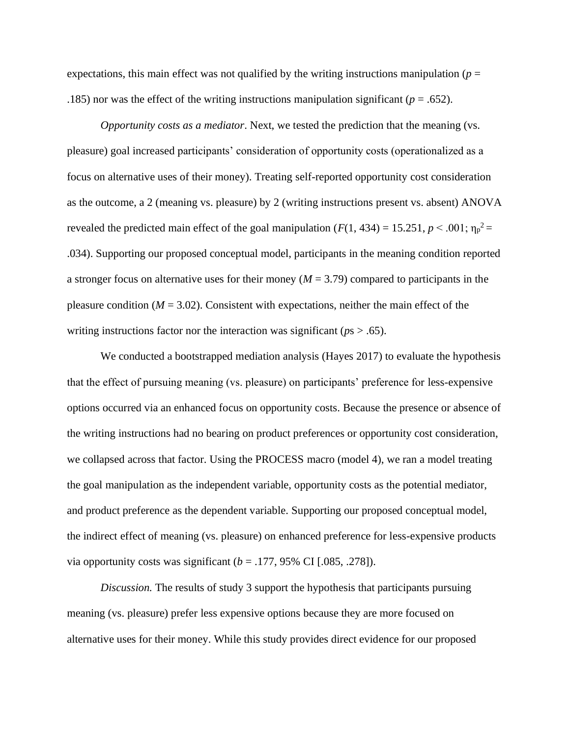expectations, this main effect was not qualified by the writing instructions manipulation ( $p =$ .185) nor was the effect of the writing instructions manipulation significant ( $p = .652$ ).

*Opportunity costs as a mediator*. Next, we tested the prediction that the meaning (vs. pleasure) goal increased participants' consideration of opportunity costs (operationalized as a focus on alternative uses of their money). Treating self-reported opportunity cost consideration as the outcome, a 2 (meaning vs. pleasure) by 2 (writing instructions present vs. absent) ANOVA revealed the predicted main effect of the goal manipulation  $(F(1, 434) = 15.251, p < .001; \eta_p^2 =$ .034). Supporting our proposed conceptual model, participants in the meaning condition reported a stronger focus on alternative uses for their money (*M* = 3.79) compared to participants in the pleasure condition  $(M = 3.02)$ . Consistent with expectations, neither the main effect of the writing instructions factor nor the interaction was significant ( $p_s > .65$ ).

We conducted a bootstrapped mediation analysis (Hayes 2017) to evaluate the hypothesis that the effect of pursuing meaning (vs. pleasure) on participants' preference for less-expensive options occurred via an enhanced focus on opportunity costs. Because the presence or absence of the writing instructions had no bearing on product preferences or opportunity cost consideration, we collapsed across that factor. Using the PROCESS macro (model 4), we ran a model treating the goal manipulation as the independent variable, opportunity costs as the potential mediator, and product preference as the dependent variable. Supporting our proposed conceptual model, the indirect effect of meaning (vs. pleasure) on enhanced preference for less-expensive products via opportunity costs was significant  $(b = .177, 95\% \text{ CI}$  [.085, .278]).

*Discussion.* The results of study 3 support the hypothesis that participants pursuing meaning (vs. pleasure) prefer less expensive options because they are more focused on alternative uses for their money. While this study provides direct evidence for our proposed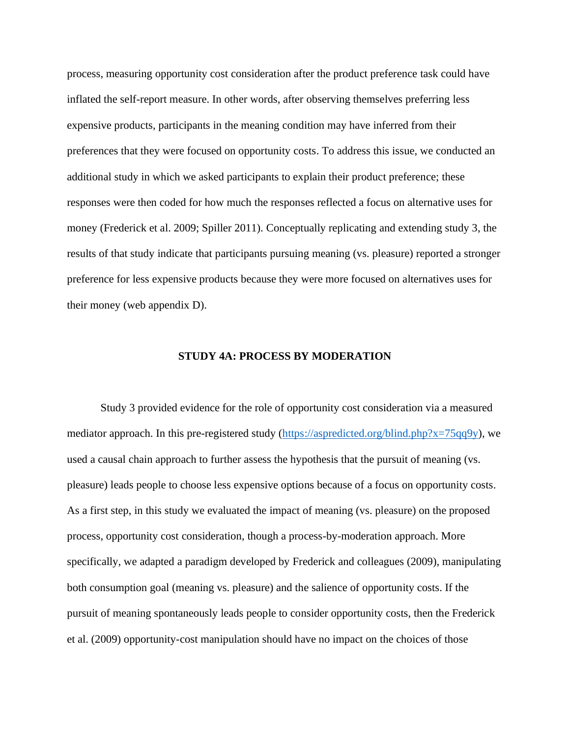process, measuring opportunity cost consideration after the product preference task could have inflated the self-report measure. In other words, after observing themselves preferring less expensive products, participants in the meaning condition may have inferred from their preferences that they were focused on opportunity costs. To address this issue, we conducted an additional study in which we asked participants to explain their product preference; these responses were then coded for how much the responses reflected a focus on alternative uses for money (Frederick et al. 2009; Spiller 2011). Conceptually replicating and extending study 3, the results of that study indicate that participants pursuing meaning (vs. pleasure) reported a stronger preference for less expensive products because they were more focused on alternatives uses for their money (web appendix D).

#### **STUDY 4A: PROCESS BY MODERATION**

Study 3 provided evidence for the role of opportunity cost consideration via a measured mediator approach. In this pre-registered study [\(https://aspredicted.org/blind.php?x=75qq9y\)](https://aspredicted.org/blind.php?x=75qq9y), we used a causal chain approach to further assess the hypothesis that the pursuit of meaning (vs. pleasure) leads people to choose less expensive options because of a focus on opportunity costs. As a first step, in this study we evaluated the impact of meaning (vs. pleasure) on the proposed process, opportunity cost consideration, though a process-by-moderation approach. More specifically, we adapted a paradigm developed by Frederick and colleagues (2009), manipulating both consumption goal (meaning vs. pleasure) and the salience of opportunity costs. If the pursuit of meaning spontaneously leads people to consider opportunity costs, then the Frederick et al. (2009) opportunity-cost manipulation should have no impact on the choices of those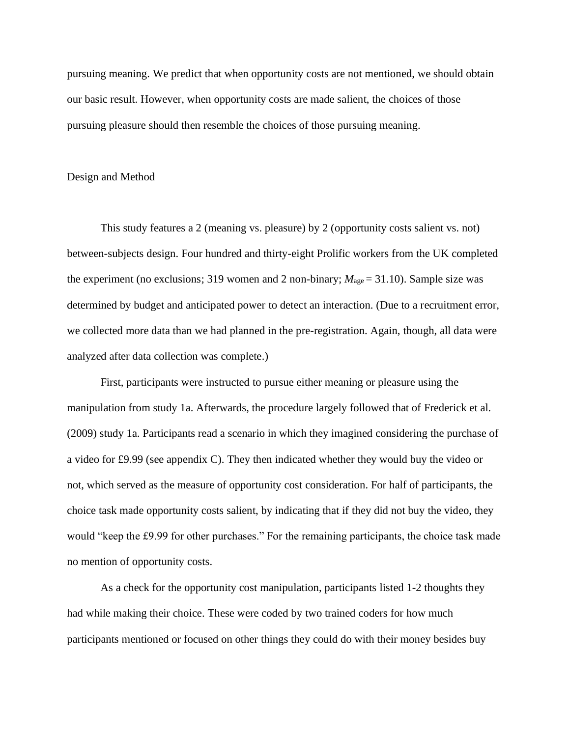pursuing meaning. We predict that when opportunity costs are not mentioned, we should obtain our basic result. However, when opportunity costs are made salient, the choices of those pursuing pleasure should then resemble the choices of those pursuing meaning.

#### Design and Method

This study features a 2 (meaning vs. pleasure) by 2 (opportunity costs salient vs. not) between-subjects design. Four hundred and thirty-eight Prolific workers from the UK completed the experiment (no exclusions; 319 women and 2 non-binary;  $M_{\text{age}} = 31.10$ ). Sample size was determined by budget and anticipated power to detect an interaction. (Due to a recruitment error, we collected more data than we had planned in the pre-registration. Again, though, all data were analyzed after data collection was complete.)

First, participants were instructed to pursue either meaning or pleasure using the manipulation from study 1a. Afterwards, the procedure largely followed that of Frederick et al. (2009) study 1a. Participants read a scenario in which they imagined considering the purchase of a video for £9.99 (see appendix C). They then indicated whether they would buy the video or not, which served as the measure of opportunity cost consideration. For half of participants, the choice task made opportunity costs salient, by indicating that if they did not buy the video, they would "keep the £9.99 for other purchases." For the remaining participants, the choice task made no mention of opportunity costs.

As a check for the opportunity cost manipulation, participants listed 1-2 thoughts they had while making their choice. These were coded by two trained coders for how much participants mentioned or focused on other things they could do with their money besides buy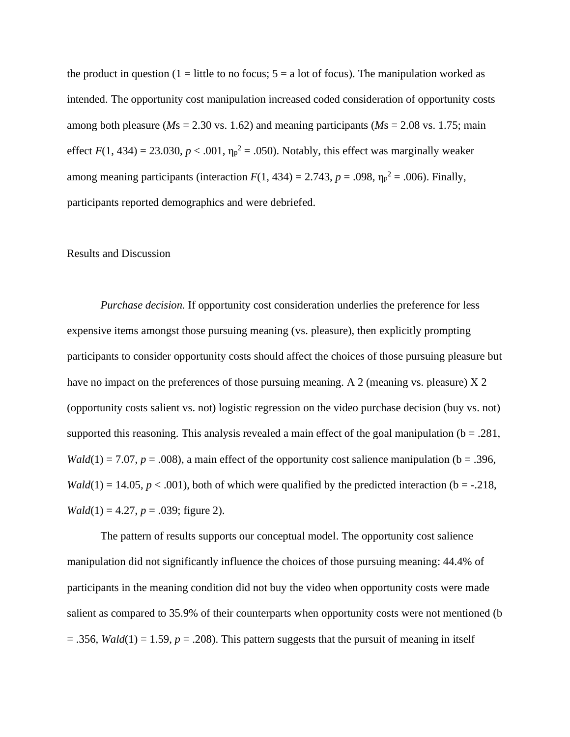the product in question (1 = little to no focus;  $5 = a$  lot of focus). The manipulation worked as intended. The opportunity cost manipulation increased coded consideration of opportunity costs among both pleasure ( $M_s = 2.30$  vs. 1.62) and meaning participants ( $M_s = 2.08$  vs. 1.75; main effect  $F(1, 434) = 23.030$ ,  $p < .001$ ,  $\eta_p^2 = .050$ ). Notably, this effect was marginally weaker among meaning participants (interaction  $F(1, 434) = 2.743$ ,  $p = .098$ ,  $\eta_p^2 = .006$ ). Finally, participants reported demographics and were debriefed.

### Results and Discussion

*Purchase decision.* If opportunity cost consideration underlies the preference for less expensive items amongst those pursuing meaning (vs. pleasure), then explicitly prompting participants to consider opportunity costs should affect the choices of those pursuing pleasure but have no impact on the preferences of those pursuing meaning. A 2 (meaning vs. pleasure)  $X$  2 (opportunity costs salient vs. not) logistic regression on the video purchase decision (buy vs. not) supported this reasoning. This analysis revealed a main effect of the goal manipulation ( $b = .281$ , *Wald*(1) = 7.07, *p* = .008), a main effect of the opportunity cost salience manipulation ( $b = .396$ , *Wald*(1) = 14.05,  $p < .001$ ), both of which were qualified by the predicted interaction (b = -.218, *Wald*(1) = 4.27,  $p = .039$ ; figure 2).

The pattern of results supports our conceptual model. The opportunity cost salience manipulation did not significantly influence the choices of those pursuing meaning: 44.4% of participants in the meaning condition did not buy the video when opportunity costs were made salient as compared to 35.9% of their counterparts when opportunity costs were not mentioned (b  $= .356$ , *Wald*(1)  $= 1.59$ ,  $p = .208$ ). This pattern suggests that the pursuit of meaning in itself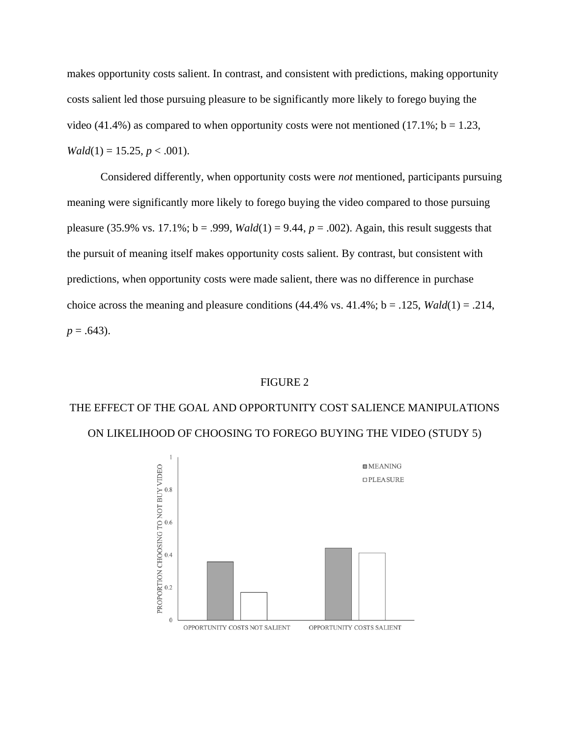makes opportunity costs salient. In contrast, and consistent with predictions, making opportunity costs salient led those pursuing pleasure to be significantly more likely to forego buying the video (41.4%) as compared to when opportunity costs were not mentioned (17.1%;  $b = 1.23$ , *Wald*(1) = 15.25,  $p < .001$ ).

Considered differently, when opportunity costs were *not* mentioned, participants pursuing meaning were significantly more likely to forego buying the video compared to those pursuing pleasure (35.9% vs. 17.1%;  $b = .999$ , *Wald*(1) = 9.44,  $p = .002$ ). Again, this result suggests that the pursuit of meaning itself makes opportunity costs salient. By contrast, but consistent with predictions, when opportunity costs were made salient, there was no difference in purchase choice across the meaning and pleasure conditions  $(44.4\%$  vs.  $41.4\%$ ;  $b = .125$ ,  $Wald(1) = .214$ ,  $p = .643$ ).

#### FIGURE 2

## THE EFFECT OF THE GOAL AND OPPORTUNITY COST SALIENCE MANIPULATIONS ON LIKELIHOOD OF CHOOSING TO FOREGO BUYING THE VIDEO (STUDY 5)

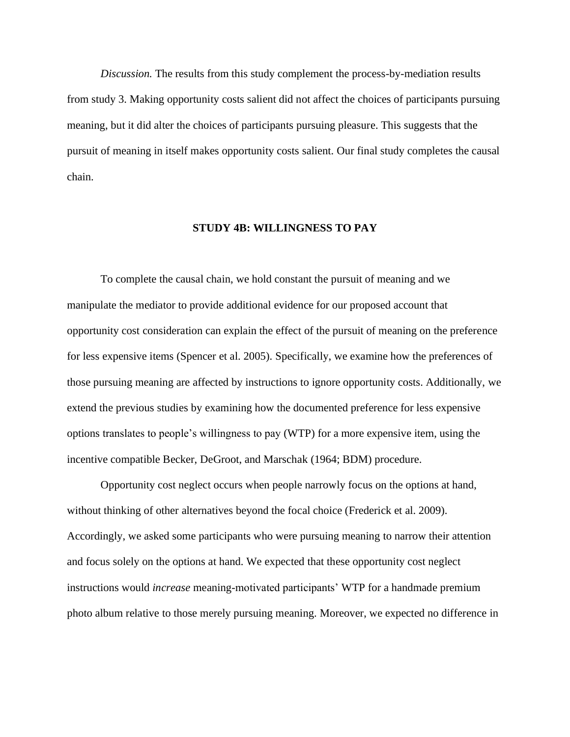*Discussion.* The results from this study complement the process-by-mediation results from study 3. Making opportunity costs salient did not affect the choices of participants pursuing meaning, but it did alter the choices of participants pursuing pleasure. This suggests that the pursuit of meaning in itself makes opportunity costs salient. Our final study completes the causal chain.

#### **STUDY 4B: WILLINGNESS TO PAY**

To complete the causal chain, we hold constant the pursuit of meaning and we manipulate the mediator to provide additional evidence for our proposed account that opportunity cost consideration can explain the effect of the pursuit of meaning on the preference for less expensive items (Spencer et al. 2005). Specifically, we examine how the preferences of those pursuing meaning are affected by instructions to ignore opportunity costs. Additionally, we extend the previous studies by examining how the documented preference for less expensive options translates to people's willingness to pay (WTP) for a more expensive item, using the incentive compatible Becker, DeGroot, and Marschak (1964; BDM) procedure.

Opportunity cost neglect occurs when people narrowly focus on the options at hand, without thinking of other alternatives beyond the focal choice (Frederick et al. 2009). Accordingly, we asked some participants who were pursuing meaning to narrow their attention and focus solely on the options at hand. We expected that these opportunity cost neglect instructions would *increase* meaning-motivated participants' WTP for a handmade premium photo album relative to those merely pursuing meaning. Moreover, we expected no difference in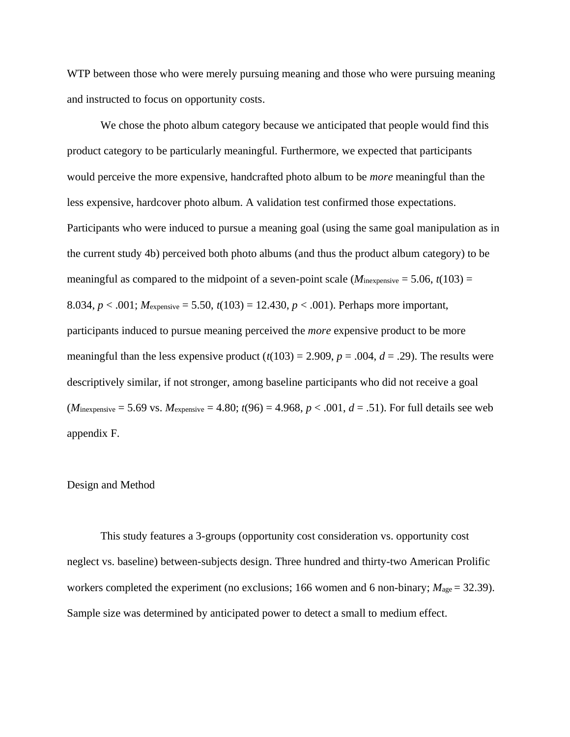WTP between those who were merely pursuing meaning and those who were pursuing meaning and instructed to focus on opportunity costs.

We chose the photo album category because we anticipated that people would find this product category to be particularly meaningful. Furthermore, we expected that participants would perceive the more expensive, handcrafted photo album to be *more* meaningful than the less expensive, hardcover photo album. A validation test confirmed those expectations. Participants who were induced to pursue a meaning goal (using the same goal manipulation as in the current study 4b) perceived both photo albums (and thus the product album category) to be meaningful as compared to the midpoint of a seven-point scale ( $M_{\text{inexpensive}} = 5.06$ ,  $t(103) =$ 8.034, *p* < .001; *M*expensive = 5.50, *t*(103) = 12.430, *p* < .001). Perhaps more important, participants induced to pursue meaning perceived the *more* expensive product to be more meaningful than the less expensive product  $(t(103) = 2.909, p = .004, d = .29)$ . The results were descriptively similar, if not stronger, among baseline participants who did not receive a goal  $(M_{\text{inexpensive}} = 5.69 \text{ vs. } M_{\text{expensive}} = 4.80; t(96) = 4.968, p < .001, d = .51$ . For full details see web appendix F.

### Design and Method

This study features a 3-groups (opportunity cost consideration vs. opportunity cost neglect vs. baseline) between-subjects design. Three hundred and thirty-two American Prolific workers completed the experiment (no exclusions; 166 women and 6 non-binary;  $M_{\text{age}} = 32.39$ ). Sample size was determined by anticipated power to detect a small to medium effect.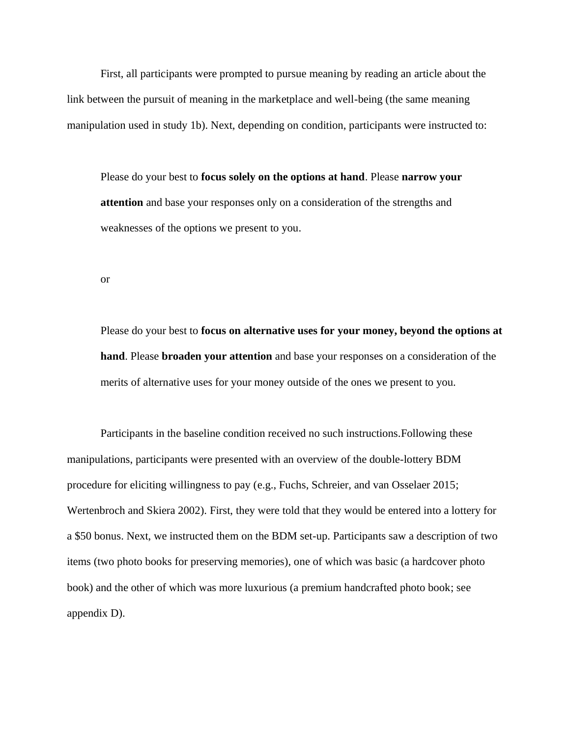First, all participants were prompted to pursue meaning by reading an article about the link between the pursuit of meaning in the marketplace and well-being (the same meaning manipulation used in study 1b). Next, depending on condition, participants were instructed to:

Please do your best to **focus solely on the options at hand**. Please **narrow your attention** and base your responses only on a consideration of the strengths and weaknesses of the options we present to you.

or

Please do your best to **focus on alternative uses for your money, beyond the options at hand**. Please **broaden your attention** and base your responses on a consideration of the merits of alternative uses for your money outside of the ones we present to you.

Participants in the baseline condition received no such instructions.Following these manipulations, participants were presented with an overview of the double-lottery BDM procedure for eliciting willingness to pay (e.g., Fuchs, Schreier, and van Osselaer 2015; Wertenbroch and Skiera 2002). First, they were told that they would be entered into a lottery for a \$50 bonus. Next, we instructed them on the BDM set-up. Participants saw a description of two items (two photo books for preserving memories), one of which was basic (a hardcover photo book) and the other of which was more luxurious (a premium handcrafted photo book; see appendix D).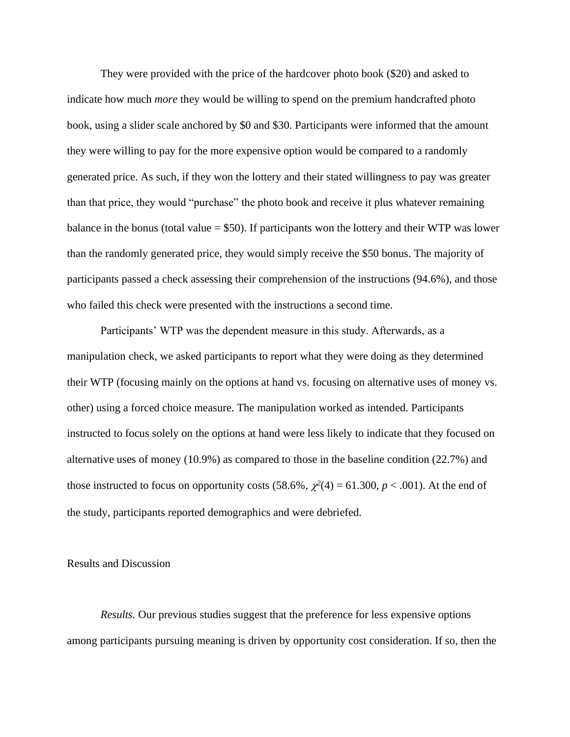They were provided with the price of the hardcover photo book (\$20) and asked to indicate how much *more* they would be willing to spend on the premium handcrafted photo book, using a slider scale anchored by \$0 and \$30. Participants were informed that the amount they were willing to pay for the more expensive option would be compared to a randomly generated price. As such, if they won the lottery and their stated willingness to pay was greater than that price, they would "purchase" the photo book and receive it plus whatever remaining balance in the bonus (total value  $= $50$ ). If participants won the lottery and their WTP was lower than the randomly generated price, they would simply receive the \$50 bonus. The majority of participants passed a check assessing their comprehension of the instructions (94.6%), and those who failed this check were presented with the instructions a second time.

Participants' WTP was the dependent measure in this study. Afterwards, as a manipulation check, we asked participants to report what they were doing as they determined their WTP (focusing mainly on the options at hand vs. focusing on alternative uses of money vs. other) using a forced choice measure. The manipulation worked as intended. Participants instructed to focus solely on the options at hand were less likely to indicate that they focused on alternative uses of money (10.9%) as compared to those in the baseline condition (22.7%) and those instructed to focus on opportunity costs  $(58.6\%, \chi^2(4) = 61.300, p < .001)$ . At the end of the study, participants reported demographics and were debriefed.

### Results and Discussion

*Results.* Our previous studies suggest that the preference for less expensive options among participants pursuing meaning is driven by opportunity cost consideration. If so, then the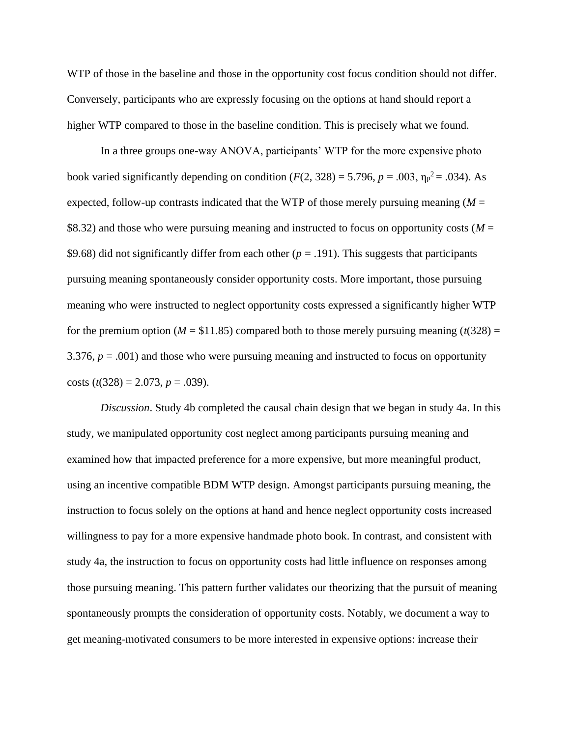WTP of those in the baseline and those in the opportunity cost focus condition should not differ. Conversely, participants who are expressly focusing on the options at hand should report a higher WTP compared to those in the baseline condition. This is precisely what we found.

In a three groups one-way ANOVA, participants' WTP for the more expensive photo book varied significantly depending on condition  $(F(2, 328) = 5.796, p = .003, \eta_p^2 = .034)$ . As expected, follow-up contrasts indicated that the WTP of those merely pursuing meaning  $(M =$ \$8.32) and those who were pursuing meaning and instructed to focus on opportunity costs (*M* = \$9.68) did not significantly differ from each other  $(p = .191)$ . This suggests that participants pursuing meaning spontaneously consider opportunity costs. More important, those pursuing meaning who were instructed to neglect opportunity costs expressed a significantly higher WTP for the premium option ( $M = $11.85$ ) compared both to those merely pursuing meaning ( $t(328) =$ 3.376,  $p = .001$ ) and those who were pursuing meaning and instructed to focus on opportunity costs  $(t(328) = 2.073, p = .039)$ .

*Discussion*. Study 4b completed the causal chain design that we began in study 4a. In this study, we manipulated opportunity cost neglect among participants pursuing meaning and examined how that impacted preference for a more expensive, but more meaningful product, using an incentive compatible BDM WTP design. Amongst participants pursuing meaning, the instruction to focus solely on the options at hand and hence neglect opportunity costs increased willingness to pay for a more expensive handmade photo book. In contrast, and consistent with study 4a, the instruction to focus on opportunity costs had little influence on responses among those pursuing meaning. This pattern further validates our theorizing that the pursuit of meaning spontaneously prompts the consideration of opportunity costs. Notably, we document a way to get meaning-motivated consumers to be more interested in expensive options: increase their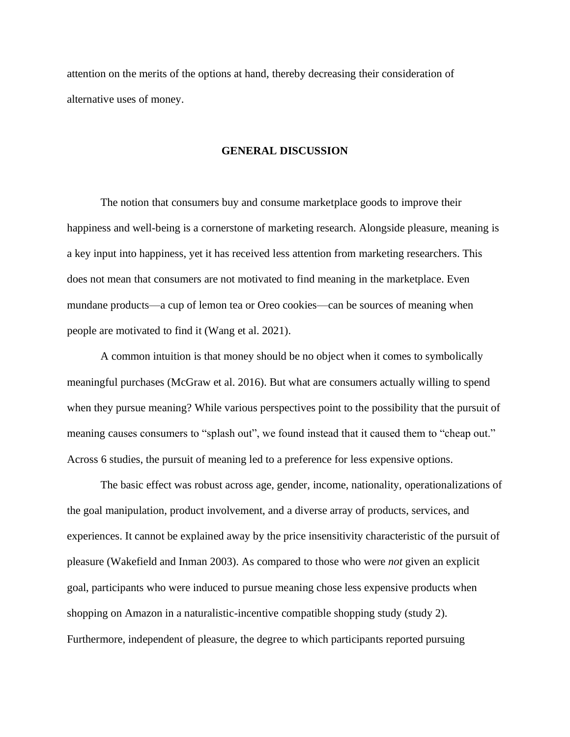attention on the merits of the options at hand, thereby decreasing their consideration of alternative uses of money.

#### **GENERAL DISCUSSION**

The notion that consumers buy and consume marketplace goods to improve their happiness and well-being is a cornerstone of marketing research. Alongside pleasure, meaning is a key input into happiness, yet it has received less attention from marketing researchers. This does not mean that consumers are not motivated to find meaning in the marketplace. Even mundane products—a cup of lemon tea or Oreo cookies—can be sources of meaning when people are motivated to find it (Wang et al. 2021).

A common intuition is that money should be no object when it comes to symbolically meaningful purchases (McGraw et al. 2016). But what are consumers actually willing to spend when they pursue meaning? While various perspectives point to the possibility that the pursuit of meaning causes consumers to "splash out", we found instead that it caused them to "cheap out." Across 6 studies, the pursuit of meaning led to a preference for less expensive options.

The basic effect was robust across age, gender, income, nationality, operationalizations of the goal manipulation, product involvement, and a diverse array of products, services, and experiences. It cannot be explained away by the price insensitivity characteristic of the pursuit of pleasure (Wakefield and Inman 2003). As compared to those who were *not* given an explicit goal, participants who were induced to pursue meaning chose less expensive products when shopping on Amazon in a naturalistic-incentive compatible shopping study (study 2). Furthermore, independent of pleasure, the degree to which participants reported pursuing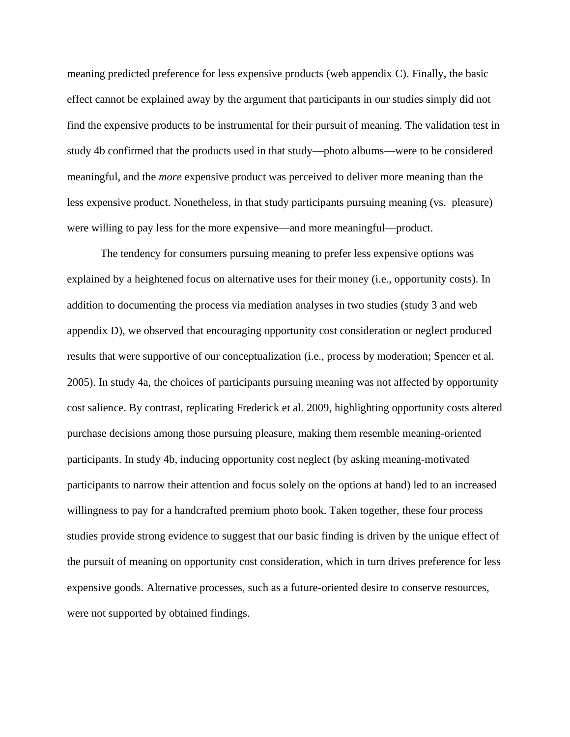meaning predicted preference for less expensive products (web appendix C). Finally, the basic effect cannot be explained away by the argument that participants in our studies simply did not find the expensive products to be instrumental for their pursuit of meaning. The validation test in study 4b confirmed that the products used in that study—photo albums—were to be considered meaningful, and the *more* expensive product was perceived to deliver more meaning than the less expensive product. Nonetheless, in that study participants pursuing meaning (vs. pleasure) were willing to pay less for the more expensive—and more meaningful—product.

The tendency for consumers pursuing meaning to prefer less expensive options was explained by a heightened focus on alternative uses for their money (i.e., opportunity costs). In addition to documenting the process via mediation analyses in two studies (study 3 and web appendix D), we observed that encouraging opportunity cost consideration or neglect produced results that were supportive of our conceptualization (i.e., process by moderation; Spencer et al. 2005). In study 4a, the choices of participants pursuing meaning was not affected by opportunity cost salience. By contrast, replicating Frederick et al. 2009, highlighting opportunity costs altered purchase decisions among those pursuing pleasure, making them resemble meaning-oriented participants. In study 4b, inducing opportunity cost neglect (by asking meaning-motivated participants to narrow their attention and focus solely on the options at hand) led to an increased willingness to pay for a handcrafted premium photo book. Taken together, these four process studies provide strong evidence to suggest that our basic finding is driven by the unique effect of the pursuit of meaning on opportunity cost consideration, which in turn drives preference for less expensive goods. Alternative processes, such as a future-oriented desire to conserve resources, were not supported by obtained findings.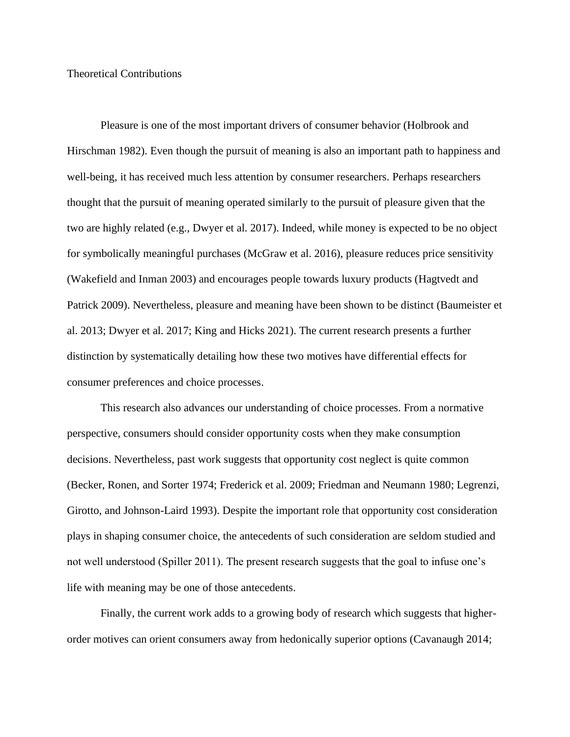### Theoretical Contributions

Pleasure is one of the most important drivers of consumer behavior (Holbrook and Hirschman 1982). Even though the pursuit of meaning is also an important path to happiness and well-being, it has received much less attention by consumer researchers. Perhaps researchers thought that the pursuit of meaning operated similarly to the pursuit of pleasure given that the two are highly related (e.g., Dwyer et al. 2017). Indeed, while money is expected to be no object for symbolically meaningful purchases (McGraw et al. 2016), pleasure reduces price sensitivity (Wakefield and Inman 2003) and encourages people towards luxury products (Hagtvedt and Patrick 2009). Nevertheless, pleasure and meaning have been shown to be distinct (Baumeister et al. 2013; Dwyer et al. 2017; King and Hicks 2021). The current research presents a further distinction by systematically detailing how these two motives have differential effects for consumer preferences and choice processes.

This research also advances our understanding of choice processes. From a normative perspective, consumers should consider opportunity costs when they make consumption decisions. Nevertheless, past work suggests that opportunity cost neglect is quite common (Becker, Ronen, and Sorter 1974; Frederick et al. 2009; Friedman and Neumann 1980; Legrenzi, Girotto, and Johnson-Laird 1993). Despite the important role that opportunity cost consideration plays in shaping consumer choice, the antecedents of such consideration are seldom studied and not well understood (Spiller 2011). The present research suggests that the goal to infuse one's life with meaning may be one of those antecedents.

Finally, the current work adds to a growing body of research which suggests that higherorder motives can orient consumers away from hedonically superior options (Cavanaugh 2014;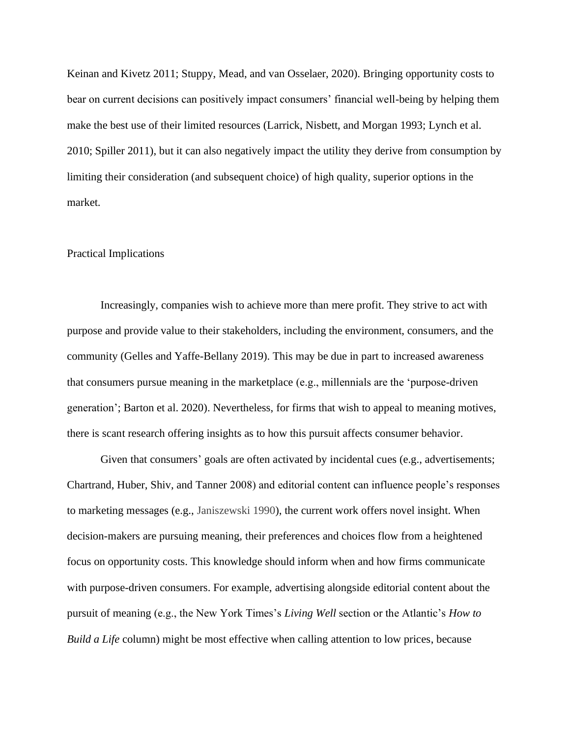Keinan and Kivetz 2011; Stuppy, Mead, and van Osselaer, 2020). Bringing opportunity costs to bear on current decisions can positively impact consumers' financial well-being by helping them make the best use of their limited resources (Larrick, Nisbett, and Morgan 1993; Lynch et al. 2010; Spiller 2011), but it can also negatively impact the utility they derive from consumption by limiting their consideration (and subsequent choice) of high quality, superior options in the market.

#### Practical Implications

Increasingly, companies wish to achieve more than mere profit. They strive to act with purpose and provide value to their stakeholders, including the environment, consumers, and the community (Gelles and Yaffe-Bellany 2019). This may be due in part to increased awareness that consumers pursue meaning in the marketplace (e.g., millennials are the 'purpose-driven generation'; Barton et al. 2020). Nevertheless, for firms that wish to appeal to meaning motives, there is scant research offering insights as to how this pursuit affects consumer behavior.

Given that consumers' goals are often activated by incidental cues (e.g., advertisements; Chartrand, Huber, Shiv, and Tanner 2008) and editorial content can influence people's responses to marketing messages (e.g., Janiszewski 1990), the current work offers novel insight. When decision-makers are pursuing meaning, their preferences and choices flow from a heightened focus on opportunity costs. This knowledge should inform when and how firms communicate with purpose-driven consumers. For example, advertising alongside editorial content about the pursuit of meaning (e.g., the New York Times's *Living Well* section or the Atlantic's *How to Build a Life* column) might be most effective when calling attention to low prices, because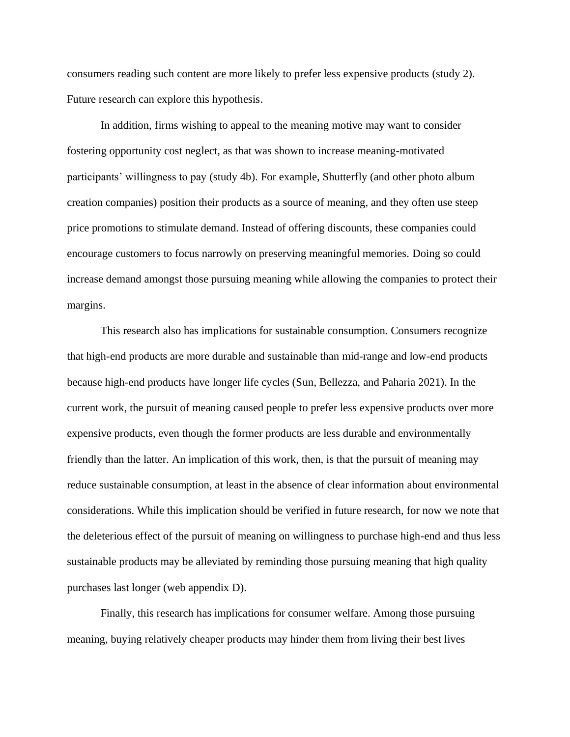consumers reading such content are more likely to prefer less expensive products (study 2). Future research can explore this hypothesis.

In addition, firms wishing to appeal to the meaning motive may want to consider fostering opportunity cost neglect, as that was shown to increase meaning-motivated participants' willingness to pay (study 4b). For example, Shutterfly (and other photo album creation companies) position their products as a source of meaning, and they often use steep price promotions to stimulate demand. Instead of offering discounts, these companies could encourage customers to focus narrowly on preserving meaningful memories. Doing so could increase demand amongst those pursuing meaning while allowing the companies to protect their margins.

This research also has implications for sustainable consumption. Consumers recognize that high-end products are more durable and sustainable than mid-range and low-end products because high-end products have longer life cycles (Sun, Bellezza, and Paharia 2021). In the current work, the pursuit of meaning caused people to prefer less expensive products over more expensive products, even though the former products are less durable and environmentally friendly than the latter. An implication of this work, then, is that the pursuit of meaning may reduce sustainable consumption, at least in the absence of clear information about environmental considerations. While this implication should be verified in future research, for now we note that the deleterious effect of the pursuit of meaning on willingness to purchase high-end and thus less sustainable products may be alleviated by reminding those pursuing meaning that high quality purchases last longer (web appendix D).

Finally, this research has implications for consumer welfare. Among those pursuing meaning, buying relatively cheaper products may hinder them from living their best lives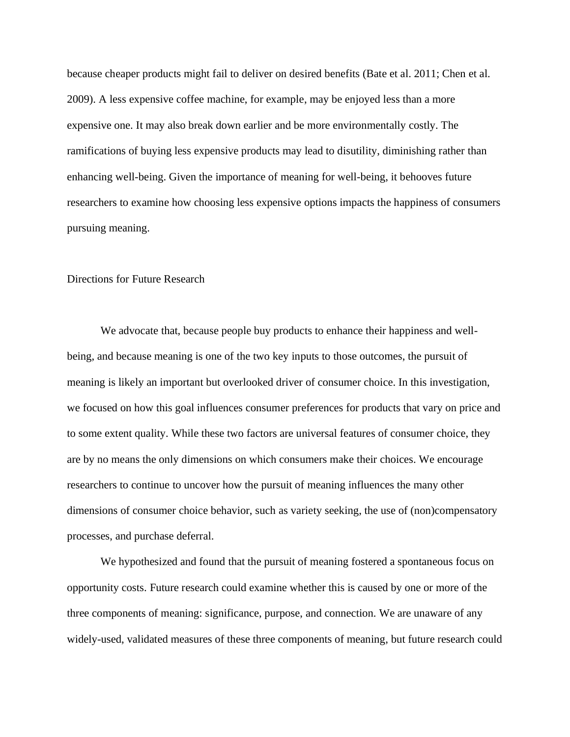because cheaper products might fail to deliver on desired benefits (Bate et al. 2011; Chen et al. 2009). A less expensive coffee machine, for example, may be enjoyed less than a more expensive one. It may also break down earlier and be more environmentally costly. The ramifications of buying less expensive products may lead to disutility, diminishing rather than enhancing well-being. Given the importance of meaning for well-being, it behooves future researchers to examine how choosing less expensive options impacts the happiness of consumers pursuing meaning.

### Directions for Future Research

We advocate that, because people buy products to enhance their happiness and wellbeing, and because meaning is one of the two key inputs to those outcomes, the pursuit of meaning is likely an important but overlooked driver of consumer choice. In this investigation, we focused on how this goal influences consumer preferences for products that vary on price and to some extent quality. While these two factors are universal features of consumer choice, they are by no means the only dimensions on which consumers make their choices. We encourage researchers to continue to uncover how the pursuit of meaning influences the many other dimensions of consumer choice behavior, such as variety seeking, the use of (non)compensatory processes, and purchase deferral.

We hypothesized and found that the pursuit of meaning fostered a spontaneous focus on opportunity costs. Future research could examine whether this is caused by one or more of the three components of meaning: significance, purpose, and connection. We are unaware of any widely-used, validated measures of these three components of meaning, but future research could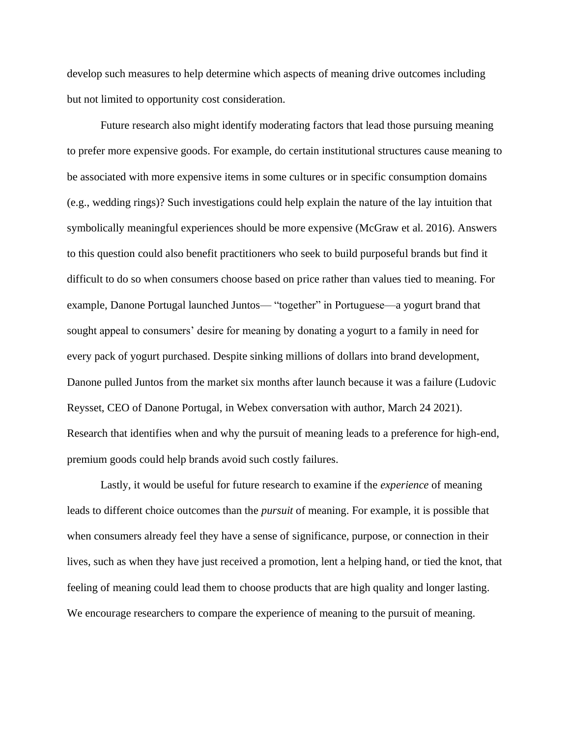develop such measures to help determine which aspects of meaning drive outcomes including but not limited to opportunity cost consideration.

Future research also might identify moderating factors that lead those pursuing meaning to prefer more expensive goods. For example, do certain institutional structures cause meaning to be associated with more expensive items in some cultures or in specific consumption domains (e.g., wedding rings)? Such investigations could help explain the nature of the lay intuition that symbolically meaningful experiences should be more expensive (McGraw et al. 2016). Answers to this question could also benefit practitioners who seek to build purposeful brands but find it difficult to do so when consumers choose based on price rather than values tied to meaning. For example, Danone Portugal launched Juntos— "together" in Portuguese—a yogurt brand that sought appeal to consumers' desire for meaning by donating a yogurt to a family in need for every pack of yogurt purchased. Despite sinking millions of dollars into brand development, Danone pulled Juntos from the market six months after launch because it was a failure (Ludovic Reysset, CEO of Danone Portugal, in Webex conversation with author, March 24 2021). Research that identifies when and why the pursuit of meaning leads to a preference for high-end, premium goods could help brands avoid such costly failures.

Lastly, it would be useful for future research to examine if the *experience* of meaning leads to different choice outcomes than the *pursuit* of meaning. For example, it is possible that when consumers already feel they have a sense of significance, purpose, or connection in their lives, such as when they have just received a promotion, lent a helping hand, or tied the knot, that feeling of meaning could lead them to choose products that are high quality and longer lasting. We encourage researchers to compare the experience of meaning to the pursuit of meaning.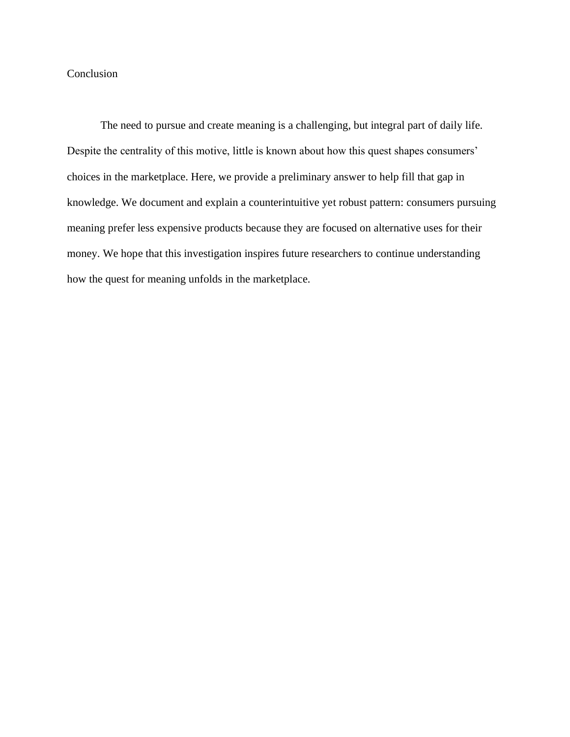## Conclusion

The need to pursue and create meaning is a challenging, but integral part of daily life. Despite the centrality of this motive, little is known about how this quest shapes consumers' choices in the marketplace. Here, we provide a preliminary answer to help fill that gap in knowledge. We document and explain a counterintuitive yet robust pattern: consumers pursuing meaning prefer less expensive products because they are focused on alternative uses for their money. We hope that this investigation inspires future researchers to continue understanding how the quest for meaning unfolds in the marketplace.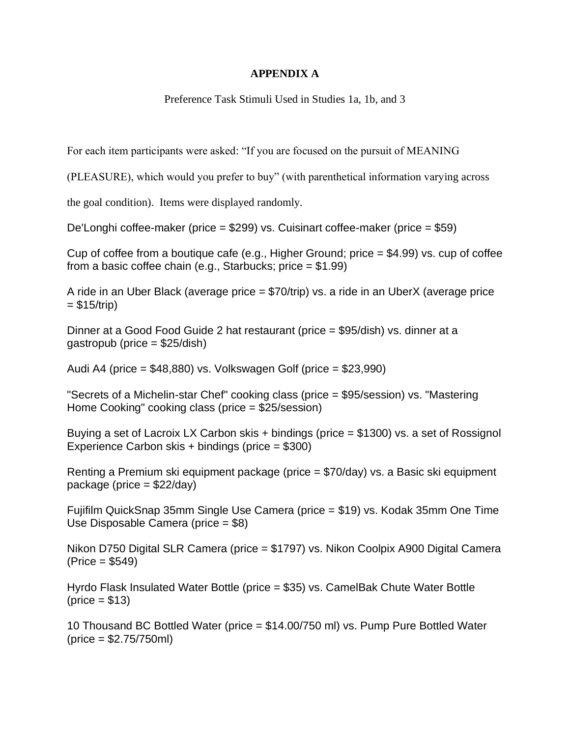## **APPENDIX A**

Preference Task Stimuli Used in Studies 1a, 1b, and 3

For each item participants were asked: "If you are focused on the pursuit of MEANING

(PLEASURE), which would you prefer to buy" (with parenthetical information varying across

the goal condition). Items were displayed randomly.

De'Longhi coffee-maker (price = \$299) vs. Cuisinart coffee-maker (price = \$59)

Cup of coffee from a boutique cafe (e.g., Higher Ground; price = \$4.99) vs. cup of coffee from a basic coffee chain (e.g., Starbucks; price  $= $1.99$ )

A ride in an Uber Black (average price = \$70/trip) vs. a ride in an UberX (average price  $= $15/trip)$ 

Dinner at a Good Food Guide 2 hat restaurant (price = \$95/dish) vs. dinner at a gastropub (price = \$25/dish)

Audi A4 (price = \$48,880) vs. Volkswagen Golf (price = \$23,990)

"Secrets of a Michelin-star Chef" cooking class (price = \$95/session) vs. "Mastering Home Cooking" cooking class (price = \$25/session)

Buying a set of Lacroix LX Carbon skis + bindings (price = \$1300) vs. a set of Rossignol Experience Carbon skis + bindings (price = \$300)

Renting a Premium ski equipment package (price = \$70/day) vs. a Basic ski equipment package (price  $= $22/day$ )

Fujifilm QuickSnap 35mm Single Use Camera (price = \$19) vs. Kodak 35mm One Time Use Disposable Camera (price = \$8)

Nikon D750 Digital SLR Camera (price = \$1797) vs. Nikon Coolpix A900 Digital Camera (Price = \$549)

Hyrdo Flask Insulated Water Bottle (price = \$35) vs. CamelBak Chute Water Bottle  $(\text{price} = $13)$ 

10 Thousand BC Bottled Water (price = \$14.00/750 ml) vs. Pump Pure Bottled Water (price = \$2.75/750ml)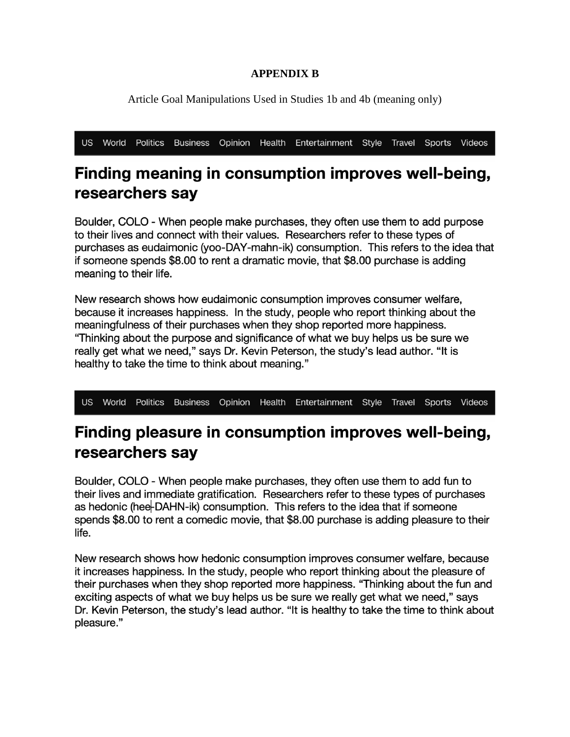## **APPENDIX B**

Article Goal Manipulations Used in Studies 1b and 4b (meaning only)

US World Politics Business Opinion Health Entertainment Style Travel Sports Videos

# Finding meaning in consumption improves well-being, researchers say

Boulder, COLO - When people make purchases, they often use them to add purpose to their lives and connect with their values. Researchers refer to these types of purchases as eudaimonic (yoo-DAY-mahn-ik) consumption. This refers to the idea that if someone spends \$8.00 to rent a dramatic movie, that \$8.00 purchase is adding meaning to their life.

New research shows how eudaimonic consumption improves consumer welfare, because it increases happiness. In the study, people who report thinking about the meaningfulness of their purchases when they shop reported more happiness. "Thinking about the purpose and significance of what we buy helps us be sure we really get what we need," says Dr. Kevin Peterson, the study's lead author. "It is healthy to take the time to think about meaning."

US World Politics Business Opinion Health Entertainment Style Travel Sports Videos

# Finding pleasure in consumption improves well-being, researchers say

Boulder, COLO - When people make purchases, they often use them to add fun to their lives and immediate gratification. Researchers refer to these types of purchases as hedonic (hee-DAHN-ik) consumption. This refers to the idea that if someone spends \$8.00 to rent a comedic movie, that \$8.00 purchase is adding pleasure to their life.

New research shows how hedonic consumption improves consumer welfare, because it increases happiness. In the study, people who report thinking about the pleasure of their purchases when they shop reported more happiness. "Thinking about the fun and exciting aspects of what we buy helps us be sure we really get what we need," says Dr. Kevin Peterson, the study's lead author. "It is healthy to take the time to think about pleasure."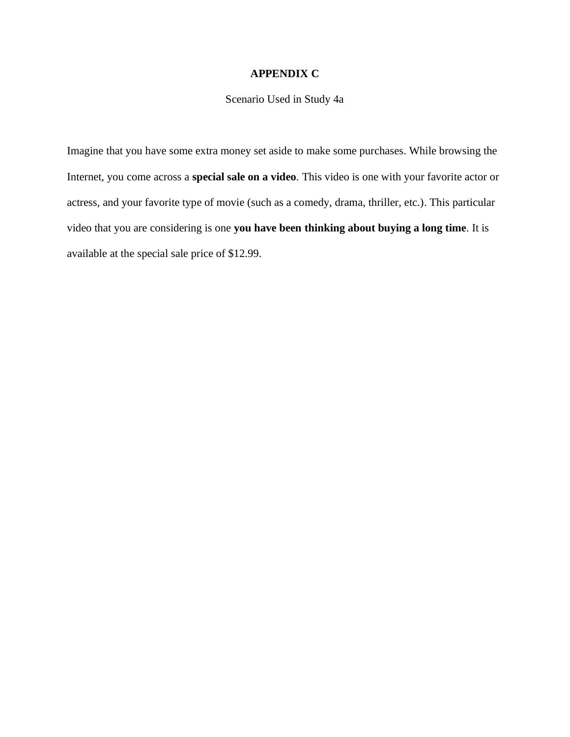## **APPENDIX C**

## Scenario Used in Study 4a

Imagine that you have some extra money set aside to make some purchases. While browsing the Internet, you come across a **special sale on a video**. This video is one with your favorite actor or actress, and your favorite type of movie (such as a comedy, drama, thriller, etc.). This particular video that you are considering is one **you have been thinking about buying a long time**. It is available at the special sale price of \$12.99.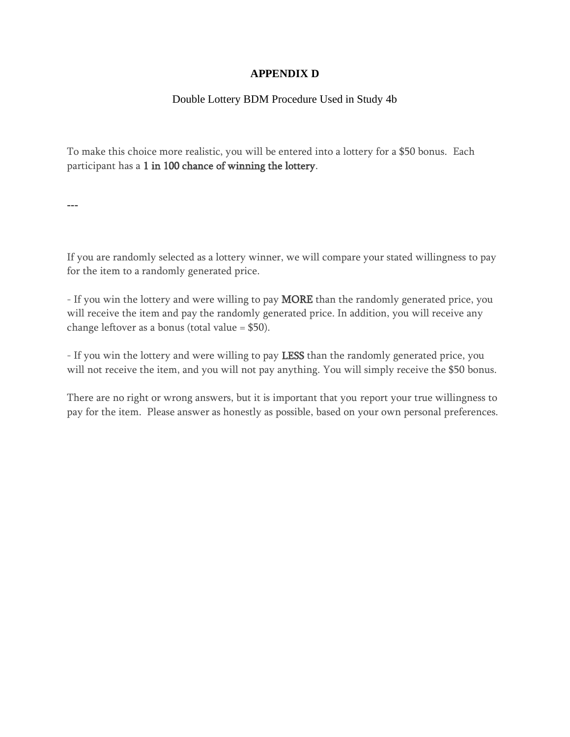## **APPENDIX D**

## Double Lottery BDM Procedure Used in Study 4b

To make this choice more realistic, you will be entered into a lottery for a \$50 bonus. Each participant has a 1 in 100 chance of winning the lottery.

---

If you are randomly selected as a lottery winner, we will compare your stated willingness to pay for the item to a randomly generated price.

- If you win the lottery and were willing to pay **MORE** than the randomly generated price, you will receive the item and pay the randomly generated price. In addition, you will receive any change leftover as a bonus (total value = \$50).

- If you win the lottery and were willing to pay LESS than the randomly generated price, you will not receive the item, and you will not pay anything. You will simply receive the \$50 bonus.

There are no right or wrong answers, but it is important that you report your true willingness to pay for the item. Please answer as honestly as possible, based on your own personal preferences.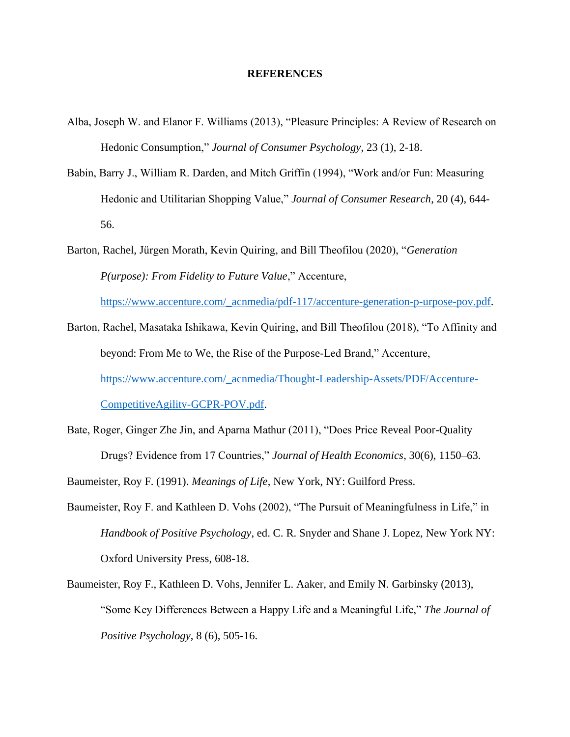#### **REFERENCES**

- Alba, Joseph W. and Elanor F. Williams (2013), "Pleasure Principles: A Review of Research on Hedonic Consumption," *Journal of Consumer Psychology*, 23 (1), 2-18.
- Babin, Barry J., William R. Darden, and Mitch Griffin (1994), "Work and/or Fun: Measuring Hedonic and Utilitarian Shopping Value," *Journal of Consumer Research*, 20 (4), 644- 56.
- Barton, Rachel, Jürgen Morath, Kevin Quiring, and Bill Theofilou (2020), "*Generation P(urpose): From Fidelity to Future Value*," Accenture, [https://www.accenture.com/\\_acnmedia/pdf-117/accenture-generation-p-urpose-pov.pdf.](https://www.accenture.com/_acnmedia/pdf-117/accenture-generation-p-urpose-pov.pdf)
- Barton, Rachel, Masataka Ishikawa, Kevin Quiring, and Bill Theofilou (2018), "To Affinity and beyond: From Me to We, the Rise of the Purpose-Led Brand," Accenture, [https://www.accenture.com/\\_acnmedia/Thought-Leadership-Assets/PDF/Accenture-](https://www.accenture.com/_acnmedia/Thought-Leadership-Assets/PDF/Accenture-CompetitiveAgility-GCPR-POV.pdf)[CompetitiveAgility-GCPR-POV.pdf.](https://www.accenture.com/_acnmedia/Thought-Leadership-Assets/PDF/Accenture-CompetitiveAgility-GCPR-POV.pdf)
- Bate, Roger, Ginger Zhe Jin, and Aparna Mathur (2011), "Does Price Reveal Poor-Quality Drugs? Evidence from 17 Countries," *Journal of Health Economics*, 30(6), 1150–63.
- Baumeister, Roy F. (1991). *Meanings of Life*, New York, NY: Guilford Press.
- Baumeister, Roy F. and Kathleen D. Vohs (2002), "The Pursuit of Meaningfulness in Life," in *Handbook of Positive Psychology*, ed. C. R. Snyder and Shane J. Lopez, New York NY: Oxford University Press, 608-18.
- Baumeister, Roy F., Kathleen D. Vohs, Jennifer L. Aaker, and Emily N. Garbinsky (2013), "Some Key Differences Between a Happy Life and a Meaningful Life," *The Journal of Positive Psychology*, 8 (6), 505-16.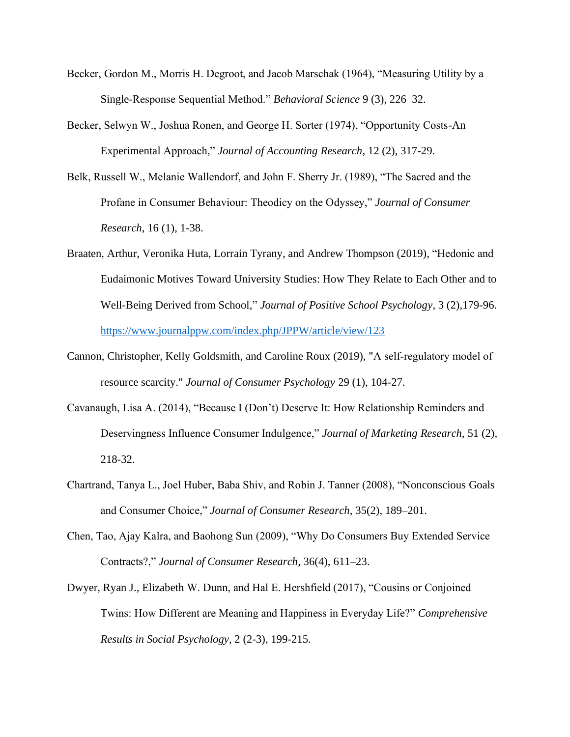- Becker, Gordon M., Morris H. Degroot, and Jacob Marschak (1964), "Measuring Utility by a Single-Response Sequential Method." *Behavioral Science* 9 (3), 226–32.
- Becker, Selwyn W., Joshua Ronen, and George H. Sorter (1974), "Opportunity Costs-An Experimental Approach," *Journal of Accounting Research*, 12 (2), 317-29.
- Belk, Russell W., Melanie Wallendorf, and John F. Sherry Jr. (1989), "The Sacred and the Profane in Consumer Behaviour: Theodicy on the Odyssey," *Journal of Consumer Research*, 16 (1), 1-38.
- Braaten, Arthur, Veronika Huta, Lorrain Tyrany, and Andrew Thompson (2019), "Hedonic and Eudaimonic Motives Toward University Studies: How They Relate to Each Other and to Well-Being Derived from School," *Journal of Positive School Psychology,* 3 (2),179-96. <https://www.journalppw.com/index.php/JPPW/article/view/123>
- Cannon, Christopher, Kelly Goldsmith, and Caroline Roux (2019), "A self‐regulatory model of resource scarcity." *Journal of Consumer Psychology* 29 (1), 104-27.
- Cavanaugh, Lisa A. (2014), "Because I (Don't) Deserve It: How Relationship Reminders and Deservingness Influence Consumer Indulgence," *Journal of Marketing Research*, 51 (2), 218-32.
- Chartrand, Tanya L., Joel Huber, Baba Shiv, and Robin J. Tanner (2008), "Nonconscious Goals and Consumer Choice," *Journal of Consumer Research*, 35(2), 189–201.
- Chen, Tao, Ajay Kalra, and Baohong Sun (2009), "Why Do Consumers Buy Extended Service Contracts?," *Journal of Consumer Research*, 36(4), 611–23.
- Dwyer, Ryan J., Elizabeth W. Dunn, and Hal E. Hershfield (2017), "Cousins or Conjoined Twins: How Different are Meaning and Happiness in Everyday Life?" *Comprehensive Results in Social Psychology*, 2 (2-3), 199-215.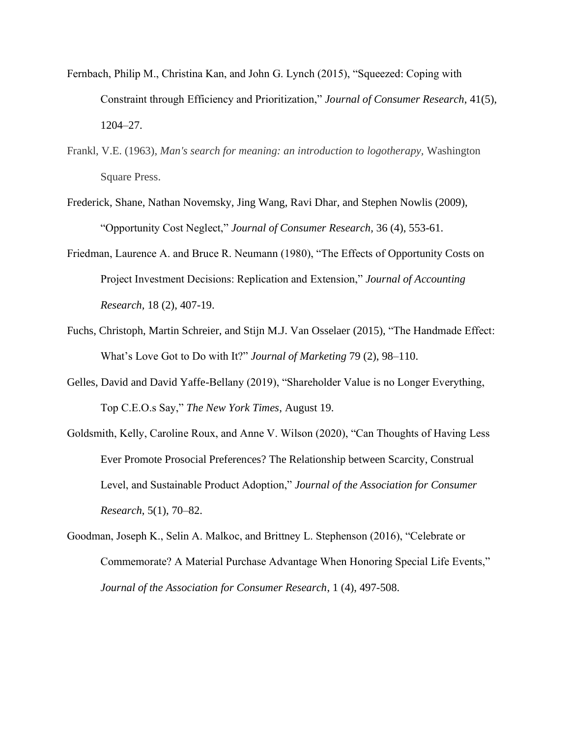- Fernbach, Philip M., Christina Kan, and John G. Lynch (2015), "Squeezed: Coping with Constraint through Efficiency and Prioritization," *Journal of Consumer Research*, 41(5), 1204–27.
- Frankl, V.E. (1963), *Man's search for meaning: an introduction to logotherapy,* Washington Square Press.
- Frederick, Shane, Nathan Novemsky, Jing Wang, Ravi Dhar, and Stephen Nowlis (2009), "Opportunity Cost Neglect," *Journal of Consumer Research,* 36 (4), 553-61.
- Friedman, Laurence A. and Bruce R. Neumann (1980), "The Effects of Opportunity Costs on Project Investment Decisions: Replication and Extension," *Journal of Accounting Research,* 18 (2), 407-19.
- Fuchs, Christoph, Martin Schreier, and Stijn M.J. Van Osselaer (2015), "The Handmade Effect: What's Love Got to Do with It?" *Journal of Marketing* 79 (2), 98–110.
- Gelles, David and David Yaffe-Bellany (2019), "Shareholder Value is no Longer Everything, Top C.E.O.s Say," *The New York Times*, August 19.
- Goldsmith, Kelly, Caroline Roux, and Anne V. Wilson (2020), "Can Thoughts of Having Less Ever Promote Prosocial Preferences? The Relationship between Scarcity, Construal Level, and Sustainable Product Adoption," *Journal of the Association for Consumer Research*, 5(1), 70–82.
- Goodman, Joseph K., Selin A. Malkoc, and Brittney L. Stephenson (2016), "Celebrate or Commemorate? A Material Purchase Advantage When Honoring Special Life Events," *Journal of the Association for Consumer Research*, 1 (4), 497-508.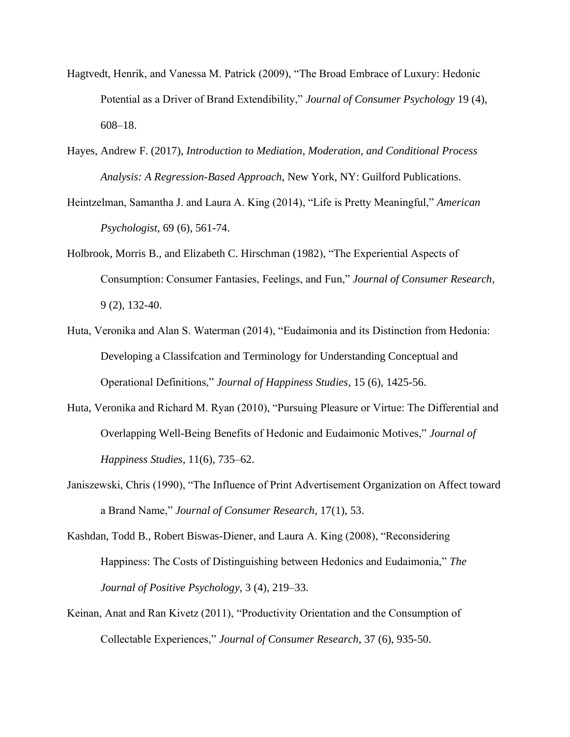- Hagtvedt, Henrik, and Vanessa M. Patrick (2009), "The Broad Embrace of Luxury: Hedonic Potential as a Driver of Brand Extendibility," *Journal of Consumer Psychology* 19 (4), 608–18.
- Hayes, Andrew F. (2017), *Introduction to Mediation, Moderation, and Conditional Process Analysis: A Regression-Based Approach*, New York, NY: Guilford Publications.
- Heintzelman, Samantha J. and Laura A. King (2014), "Life is Pretty Meaningful," *American Psychologist*, 69 (6), 561-74.
- Holbrook, Morris B., and Elizabeth C. Hirschman (1982), "The Experiential Aspects of Consumption: Consumer Fantasies, Feelings, and Fun," *Journal of Consumer Research*, 9 (2), 132-40.
- Huta, Veronika and Alan S. Waterman (2014), "Eudaimonia and its Distinction from Hedonia: Developing a Classifcation and Terminology for Understanding Conceptual and Operational Definitions," *Journal of Happiness Studies*, 15 (6), 1425-56.
- Huta, Veronika and Richard M. Ryan (2010), "Pursuing Pleasure or Virtue: The Differential and Overlapping Well-Being Benefits of Hedonic and Eudaimonic Motives," *Journal of Happiness Studies*, 11(6), 735–62.
- Janiszewski, Chris (1990), "The Influence of Print Advertisement Organization on Affect toward a Brand Name," *Journal of Consumer Research*, 17(1), 53.
- Kashdan, Todd B., Robert Biswas-Diener, and Laura A. King (2008), "Reconsidering Happiness: The Costs of Distinguishing between Hedonics and Eudaimonia," *The Journal of Positive Psychology,* 3 (4), 219–33.
- Keinan, Anat and Ran Kivetz (2011), "Productivity Orientation and the Consumption of Collectable Experiences," *Journal of Consumer Research*, 37 (6), 935-50.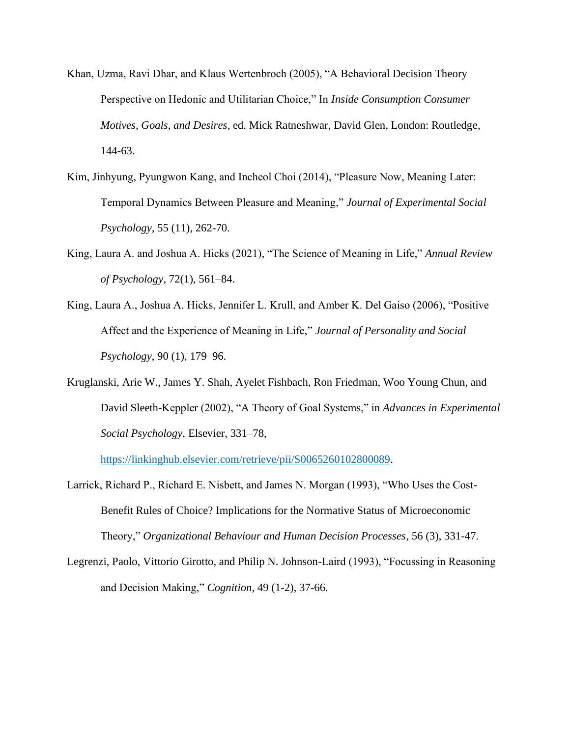- Khan, Uzma, Ravi Dhar, and Klaus Wertenbroch (2005), "A Behavioral Decision Theory Perspective on Hedonic and Utilitarian Choice," In *Inside Consumption Consumer Motives, Goals, and Desires*, ed. Mick Ratneshwar, David Glen, London: Routledge, 144-63.
- Kim, Jinhyung, Pyungwon Kang, and Incheol Choi (2014), "Pleasure Now, Meaning Later: Temporal Dynamics Between Pleasure and Meaning," *Journal of Experimental Social Psychology,* 55 (11), 262-70.
- King, Laura A. and Joshua A. Hicks (2021), "The Science of Meaning in Life," *Annual Review of Psychology*, 72(1), 561–84.
- King, Laura A., Joshua A. Hicks, Jennifer L. Krull, and Amber K. Del Gaiso (2006), "Positive Affect and the Experience of Meaning in Life," *Journal of Personality and Social Psychology*, 90 (1), 179–96.
- Kruglanski, Arie W., James Y. Shah, Ayelet Fishbach, Ron Friedman, Woo Young Chun, and David Sleeth-Keppler (2002), "A Theory of Goal Systems," in *Advances in Experimental Social Psychology*, Elsevier, 331–78,

[https://linkinghub.elsevier.com/retrieve/pii/S0065260102800089.](https://linkinghub.elsevier.com/retrieve/pii/S0065260102800089)

- Larrick, Richard P., Richard E. Nisbett, and James N. Morgan (1993), "Who Uses the Cost-Benefit Rules of Choice? Implications for the Normative Status of Microeconomic Theory," *Organizational Behaviour and Human Decision Processes*, 56 (3), 331-47.
- Legrenzi, Paolo, Vittorio Girotto, and Philip N. Johnson-Laird (1993), "Focussing in Reasoning and Decision Making," *Cognition*, 49 (1-2), 37-66.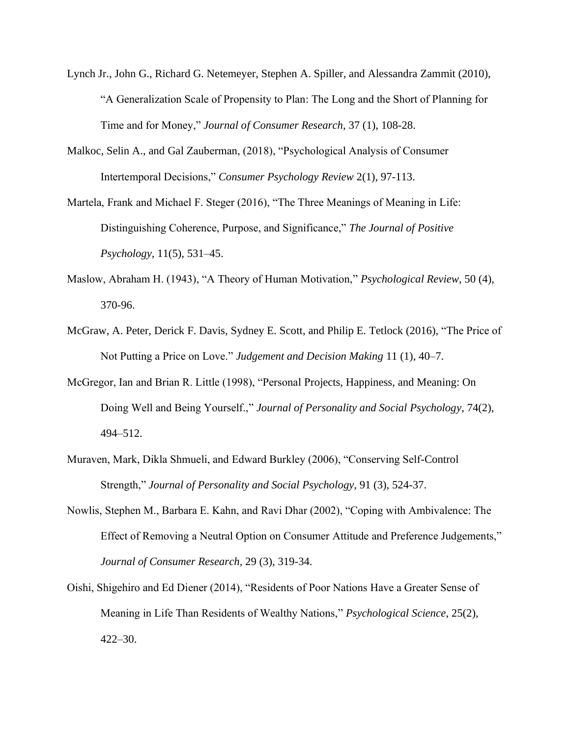- Lynch Jr., John G., Richard G. Netemeyer, Stephen A. Spiller, and Alessandra Zammit (2010), "A Generalization Scale of Propensity to Plan: The Long and the Short of Planning for Time and for Money," *Journal of Consumer Research*, 37 (1), 108-28.
- Malkoc, Selin A., and Gal Zauberman, (2018), "Psychological Analysis of Consumer Intertemporal Decisions," *Consumer Psychology Review* 2(1), 97-113.
- Martela, Frank and Michael F. Steger (2016), "The Three Meanings of Meaning in Life: Distinguishing Coherence, Purpose, and Significance," *The Journal of Positive Psychology*, 11(5), 531–45.
- Maslow, Abraham H. (1943), "A Theory of Human Motivation," *Psychological Review*, 50 (4), 370-96.
- McGraw, A. Peter, Derick F. Davis, Sydney E. Scott, and Philip E. Tetlock (2016), "The Price of Not Putting a Price on Love." *Judgement and Decision Making* 11 (1), 40–7.
- McGregor, Ian and Brian R. Little (1998), "Personal Projects, Happiness, and Meaning: On Doing Well and Being Yourself.," *Journal of Personality and Social Psychology*, 74(2), 494–512.
- Muraven, Mark, Dikla Shmueli, and Edward Burkley (2006), "Conserving Self-Control Strength," *Journal of Personality and Social Psychology,* 91 (3), 524-37.
- Nowlis, Stephen M., Barbara E. Kahn, and Ravi Dhar (2002), "Coping with Ambivalence: The Effect of Removing a Neutral Option on Consumer Attitude and Preference Judgements," *Journal of Consumer Research*, 29 (3), 319-34.
- Oishi, Shigehiro and Ed Diener (2014), "Residents of Poor Nations Have a Greater Sense of Meaning in Life Than Residents of Wealthy Nations," *Psychological Science*, 25(2), 422–30.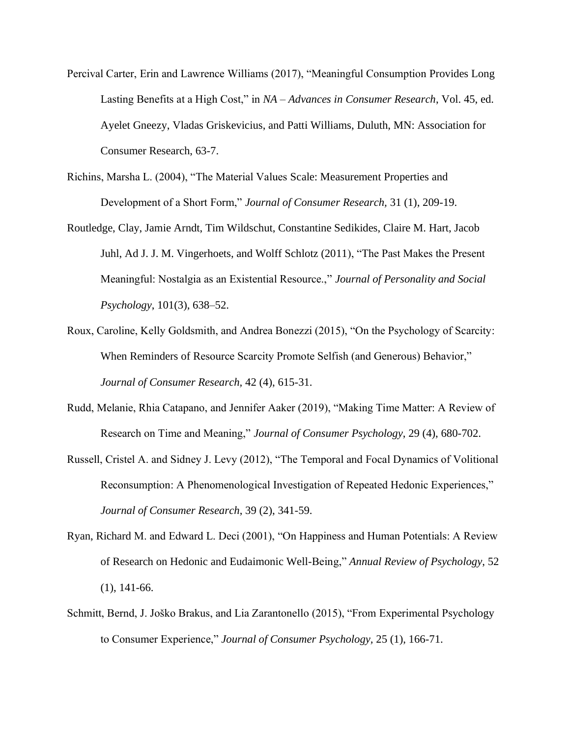- Percival Carter, Erin and Lawrence Williams (2017), "Meaningful Consumption Provides Long Lasting Benefits at a High Cost," in *NA – Advances in Consumer Research*, Vol. 45, ed. Ayelet Gneezy, Vladas Griskevicius, and Patti Williams, Duluth, MN: Association for Consumer Research, 63-7.
- Richins, Marsha L. (2004), "The Material Values Scale: Measurement Properties and Development of a Short Form," *Journal of Consumer Research,* 31 (1), 209-19.
- Routledge, Clay, Jamie Arndt, Tim Wildschut, Constantine Sedikides, Claire M. Hart, Jacob Juhl, Ad J. J. M. Vingerhoets, and Wolff Schlotz (2011), "The Past Makes the Present Meaningful: Nostalgia as an Existential Resource.," *Journal of Personality and Social Psychology*, 101(3), 638–52.
- Roux, Caroline, Kelly Goldsmith, and Andrea Bonezzi (2015), "On the Psychology of Scarcity: When Reminders of Resource Scarcity Promote Selfish (and Generous) Behavior," *Journal of Consumer Research,* 42 (4), 615-31.
- Rudd, Melanie, Rhia Catapano, and Jennifer Aaker (2019), "Making Time Matter: A Review of Research on Time and Meaning," *Journal of Consumer Psychology*, 29 (4), 680-702.
- Russell, Cristel A. and Sidney J. Levy (2012), "The Temporal and Focal Dynamics of Volitional Reconsumption: A Phenomenological Investigation of Repeated Hedonic Experiences," *Journal of Consumer Research*, 39 (2), 341-59.
- Ryan, Richard M. and Edward L. Deci (2001), "On Happiness and Human Potentials: A Review of Research on Hedonic and Eudaimonic Well-Being," *Annual Review of Psychology*, 52 (1), 141-66.
- Schmitt, Bernd, J. Joško Brakus, and Lia Zarantonello (2015), "From Experimental Psychology to Consumer Experience," *Journal of Consumer Psychology,* 25 (1), 166-71.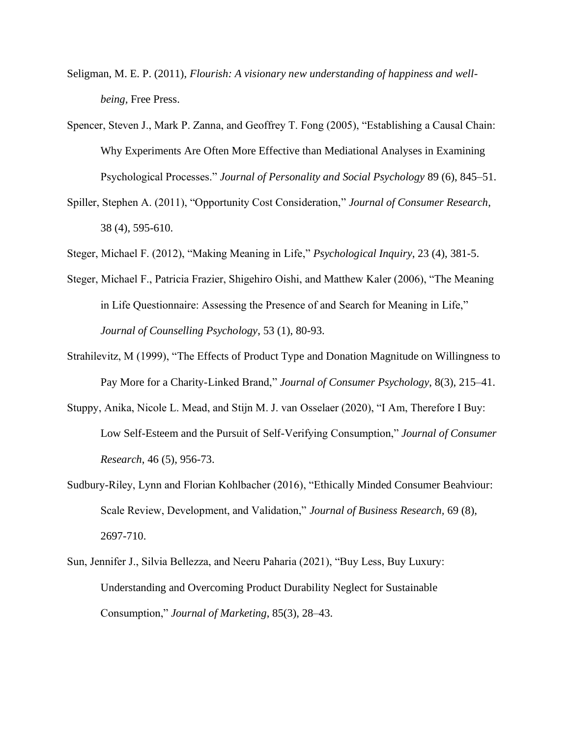- Seligman, M. E. P. (2011), *Flourish: A visionary new understanding of happiness and wellbeing,* Free Press.
- Spencer, Steven J., Mark P. Zanna, and Geoffrey T. Fong (2005), "Establishing a Causal Chain: Why Experiments Are Often More Effective than Mediational Analyses in Examining Psychological Processes." *Journal of Personality and Social Psychology* 89 (6), 845–51.
- Spiller, Stephen A. (2011), "Opportunity Cost Consideration," *Journal of Consumer Research*, 38 (4), 595-610.
- Steger, Michael F. (2012), "Making Meaning in Life," *Psychological Inquiry*, 23 (4), 381-5.
- Steger, Michael F., Patricia Frazier, Shigehiro Oishi, and Matthew Kaler (2006), "The Meaning in Life Questionnaire: Assessing the Presence of and Search for Meaning in Life," *Journal of Counselling Psychology*, 53 (1), 80-93.
- Strahilevitz, M (1999), "The Effects of Product Type and Donation Magnitude on Willingness to Pay More for a Charity-Linked Brand," *Journal of Consumer Psychology*, 8(3), 215–41.
- Stuppy, Anika, Nicole L. Mead, and Stijn M. J. van Osselaer (2020), "I Am, Therefore I Buy: Low Self-Esteem and the Pursuit of Self-Verifying Consumption," *Journal of Consumer Research*, 46 (5), 956-73.
- Sudbury-Riley, Lynn and Florian Kohlbacher (2016), "Ethically Minded Consumer Beahviour: Scale Review, Development, and Validation," *Journal of Business Research,* 69 (8), 2697-710.
- Sun, Jennifer J., Silvia Bellezza, and Neeru Paharia (2021), "Buy Less, Buy Luxury: Understanding and Overcoming Product Durability Neglect for Sustainable Consumption," *Journal of Marketing*, 85(3), 28–43.